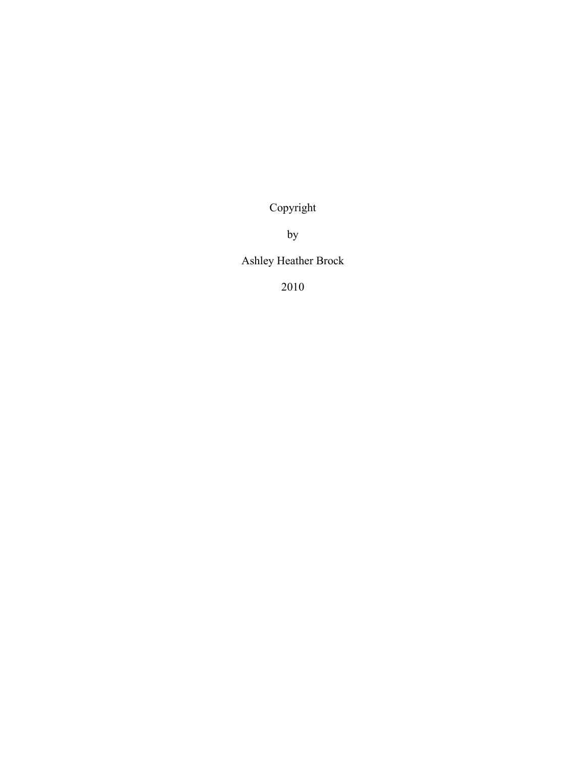Copyright

by

Ashley Heather Brock

2010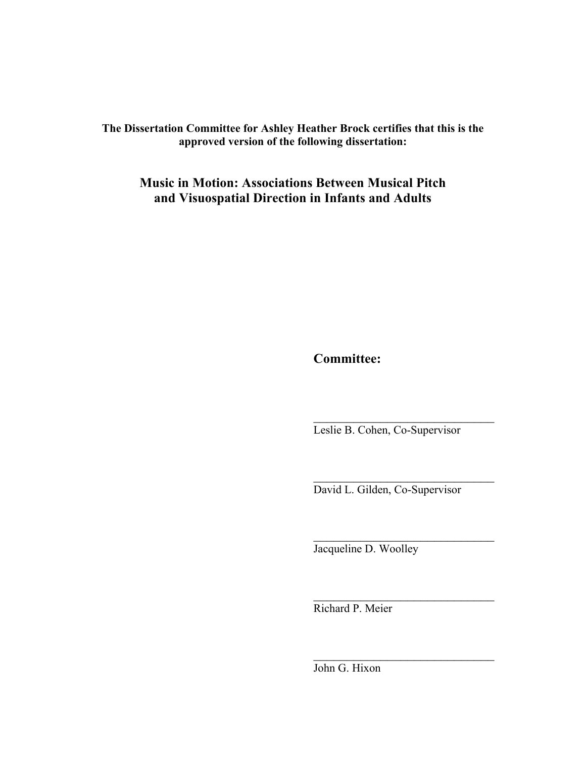**The Dissertation Committee for Ashley Heather Brock certifies that this is the approved version of the following dissertation:**

**Music in Motion: Associations Between Musical Pitch and Visuospatial Direction in Infants and Adults**

**Committee:**

Leslie B. Cohen, Co-Supervisor

David L. Gilden, Co-Supervisor

 $\mathcal{L}_\text{max}$ 

 $\overline{\phantom{a}}$  , where  $\overline{\phantom{a}}$  , where  $\overline{\phantom{a}}$  ,  $\overline{\phantom{a}}$  ,  $\overline{\phantom{a}}$  ,  $\overline{\phantom{a}}$  ,  $\overline{\phantom{a}}$  ,  $\overline{\phantom{a}}$  ,  $\overline{\phantom{a}}$  ,  $\overline{\phantom{a}}$  ,  $\overline{\phantom{a}}$  ,  $\overline{\phantom{a}}$  ,  $\overline{\phantom{a}}$  ,  $\overline{\phantom{a}}$  ,  $\overline{\phantom{a}}$  ,

 $\overline{\phantom{a}}$  , where  $\overline{\phantom{a}}$  , where  $\overline{\phantom{a}}$  ,  $\overline{\phantom{a}}$  ,  $\overline{\phantom{a}}$  ,  $\overline{\phantom{a}}$  ,  $\overline{\phantom{a}}$  ,  $\overline{\phantom{a}}$  ,  $\overline{\phantom{a}}$  ,  $\overline{\phantom{a}}$  ,  $\overline{\phantom{a}}$  ,  $\overline{\phantom{a}}$  ,  $\overline{\phantom{a}}$  ,  $\overline{\phantom{a}}$  ,  $\overline{\phantom{a}}$  ,

 $\overline{\phantom{a}}$  , where  $\overline{\phantom{a}}$  , where  $\overline{\phantom{a}}$  , where  $\overline{\phantom{a}}$ 

Jacqueline D. Woolley

Richard P. Meier

John G. Hixon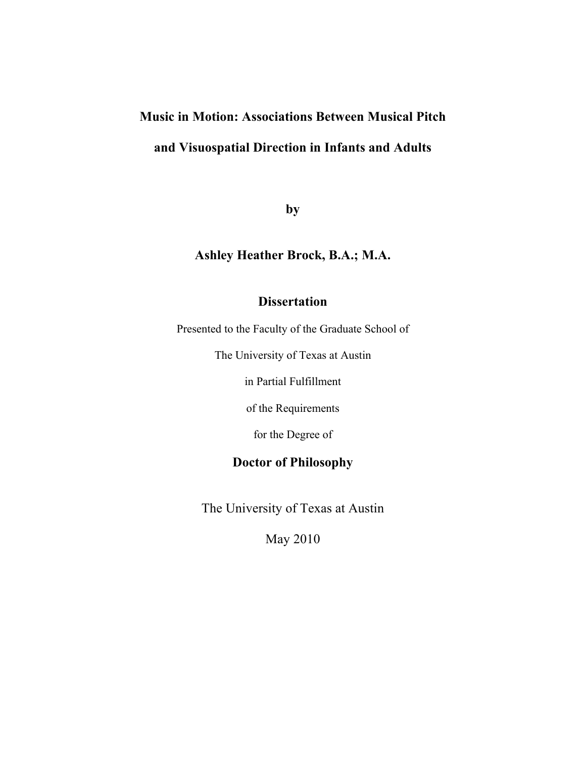## **Music in Motion: Associations Between Musical Pitch**

### **and Visuospatial Direction in Infants and Adults**

**by**

### **Ashley Heather Brock, B.A.; M.A.**

### **Dissertation**

Presented to the Faculty of the Graduate School of

The University of Texas at Austin

in Partial Fulfillment

of the Requirements

for the Degree of

### **Doctor of Philosophy**

The University of Texas at Austin

May 2010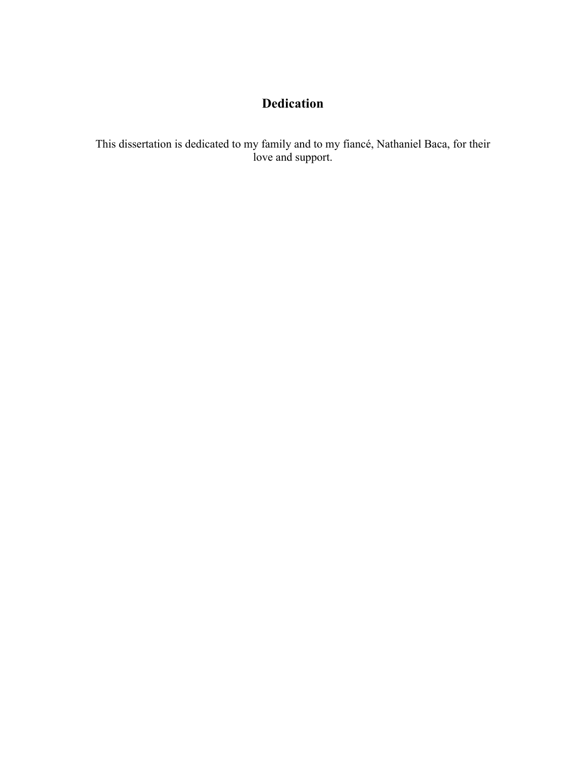## **Dedication**

This dissertation is dedicated to my family and to my fiancé, Nathaniel Baca, for their love and support.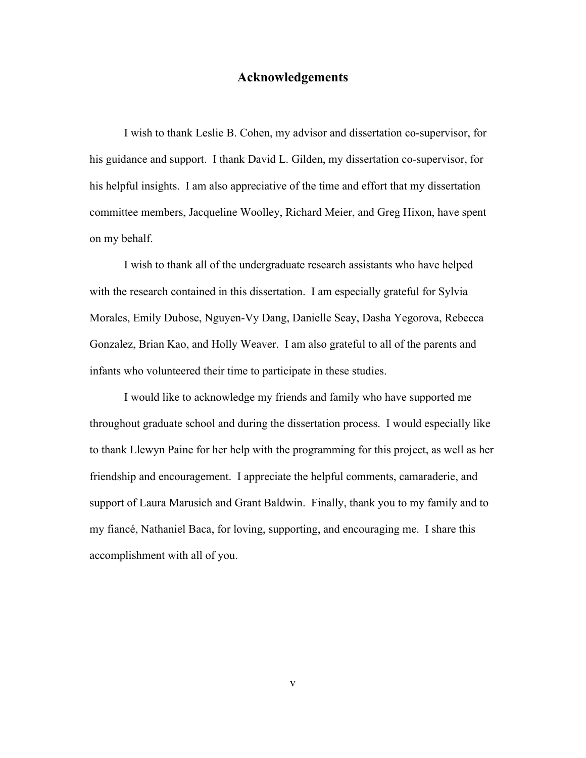#### **Acknowledgements**

I wish to thank Leslie B. Cohen, my advisor and dissertation co-supervisor, for his guidance and support. I thank David L. Gilden, my dissertation co-supervisor, for his helpful insights. I am also appreciative of the time and effort that my dissertation committee members, Jacqueline Woolley, Richard Meier, and Greg Hixon, have spent on my behalf.

I wish to thank all of the undergraduate research assistants who have helped with the research contained in this dissertation. I am especially grateful for Sylvia Morales, Emily Dubose, Nguyen-Vy Dang, Danielle Seay, Dasha Yegorova, Rebecca Gonzalez, Brian Kao, and Holly Weaver. I am also grateful to all of the parents and infants who volunteered their time to participate in these studies.

I would like to acknowledge my friends and family who have supported me throughout graduate school and during the dissertation process. I would especially like to thank Llewyn Paine for her help with the programming for this project, as well as her friendship and encouragement. I appreciate the helpful comments, camaraderie, and support of Laura Marusich and Grant Baldwin. Finally, thank you to my family and to my fiancé, Nathaniel Baca, for loving, supporting, and encouraging me. I share this accomplishment with all of you.

v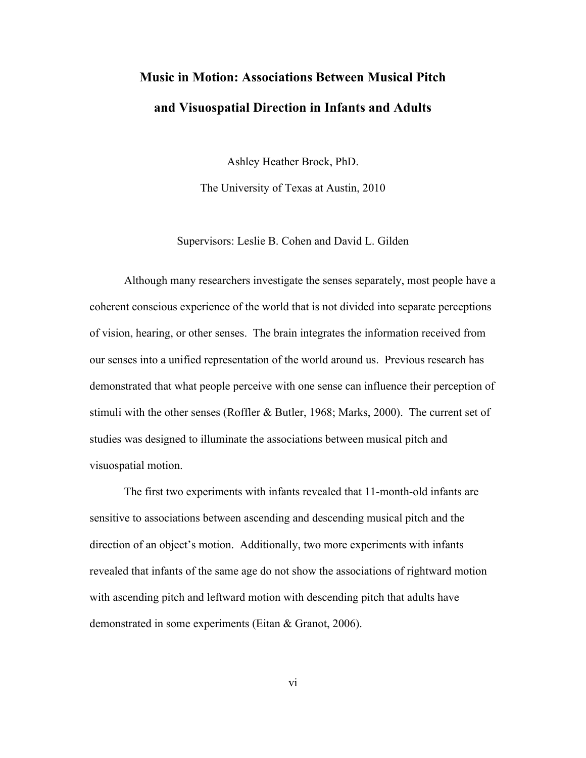# **Music in Motion: Associations Between Musical Pitch and Visuospatial Direction in Infants and Adults**

Ashley Heather Brock, PhD.

The University of Texas at Austin, 2010

Supervisors: Leslie B. Cohen and David L. Gilden

Although many researchers investigate the senses separately, most people have a coherent conscious experience of the world that is not divided into separate perceptions of vision, hearing, or other senses. The brain integrates the information received from our senses into a unified representation of the world around us. Previous research has demonstrated that what people perceive with one sense can influence their perception of stimuli with the other senses (Roffler & Butler, 1968; Marks, 2000). The current set of studies was designed to illuminate the associations between musical pitch and visuospatial motion.

The first two experiments with infants revealed that 11-month-old infants are sensitive to associations between ascending and descending musical pitch and the direction of an object's motion. Additionally, two more experiments with infants revealed that infants of the same age do not show the associations of rightward motion with ascending pitch and leftward motion with descending pitch that adults have demonstrated in some experiments (Eitan & Granot, 2006).

vi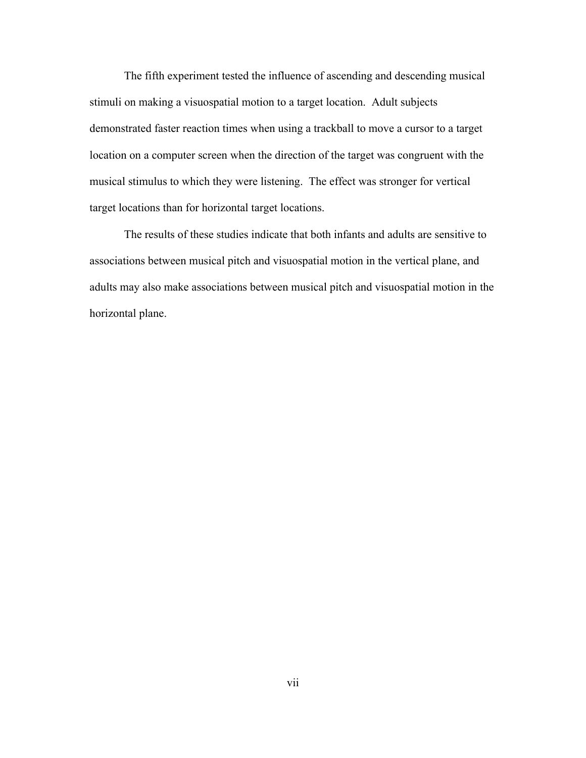The fifth experiment tested the influence of ascending and descending musical stimuli on making a visuospatial motion to a target location. Adult subjects demonstrated faster reaction times when using a trackball to move a cursor to a target location on a computer screen when the direction of the target was congruent with the musical stimulus to which they were listening. The effect was stronger for vertical target locations than for horizontal target locations.

The results of these studies indicate that both infants and adults are sensitive to associations between musical pitch and visuospatial motion in the vertical plane, and adults may also make associations between musical pitch and visuospatial motion in the horizontal plane.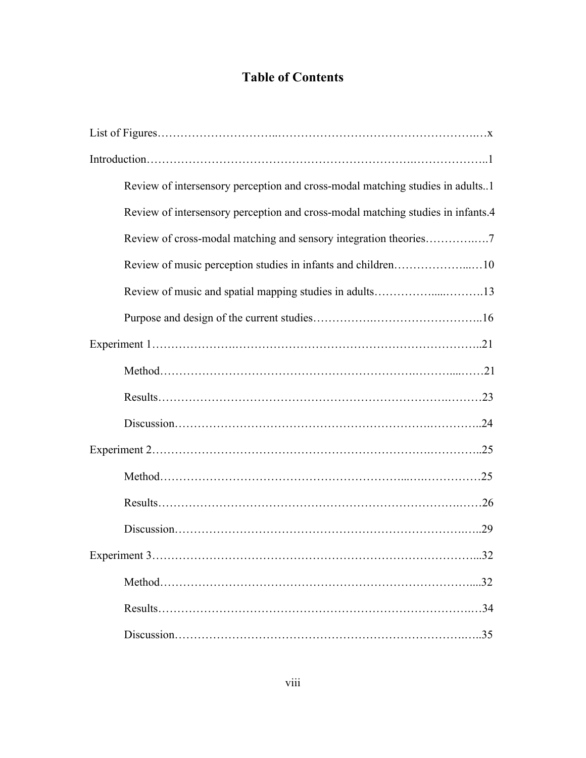## **Table of Contents**

| Review of intersensory perception and cross-modal matching studies in adults1   |
|---------------------------------------------------------------------------------|
| Review of intersensory perception and cross-modal matching studies in infants.4 |
| Review of cross-modal matching and sensory integration theories7                |
| Review of music perception studies in infants and children10                    |
| Review of music and spatial mapping studies in adults13                         |
|                                                                                 |
|                                                                                 |
|                                                                                 |
|                                                                                 |
|                                                                                 |
|                                                                                 |
|                                                                                 |
|                                                                                 |
|                                                                                 |
| .32                                                                             |
|                                                                                 |
|                                                                                 |
|                                                                                 |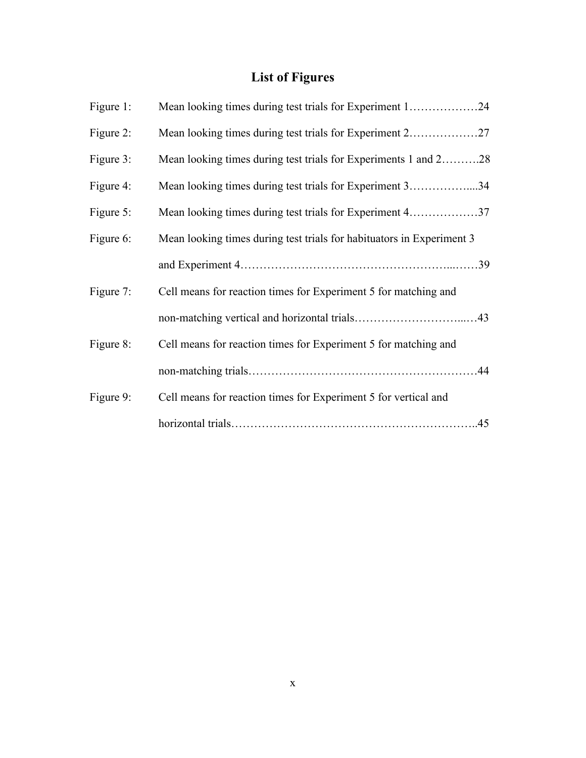## **List of Figures**

| Figure $1$ : | Mean looking times during test trials for Experiment 124              |  |
|--------------|-----------------------------------------------------------------------|--|
| Figure 2:    |                                                                       |  |
| Figure 3:    | Mean looking times during test trials for Experiments 1 and 228       |  |
| Figure 4:    | Mean looking times during test trials for Experiment 334              |  |
| Figure 5:    | Mean looking times during test trials for Experiment 437              |  |
| Figure 6:    | Mean looking times during test trials for habituators in Experiment 3 |  |
|              |                                                                       |  |
| Figure 7:    | Cell means for reaction times for Experiment 5 for matching and       |  |
|              |                                                                       |  |
| Figure 8:    | Cell means for reaction times for Experiment 5 for matching and       |  |
|              |                                                                       |  |
| Figure 9:    | Cell means for reaction times for Experiment 5 for vertical and       |  |
|              |                                                                       |  |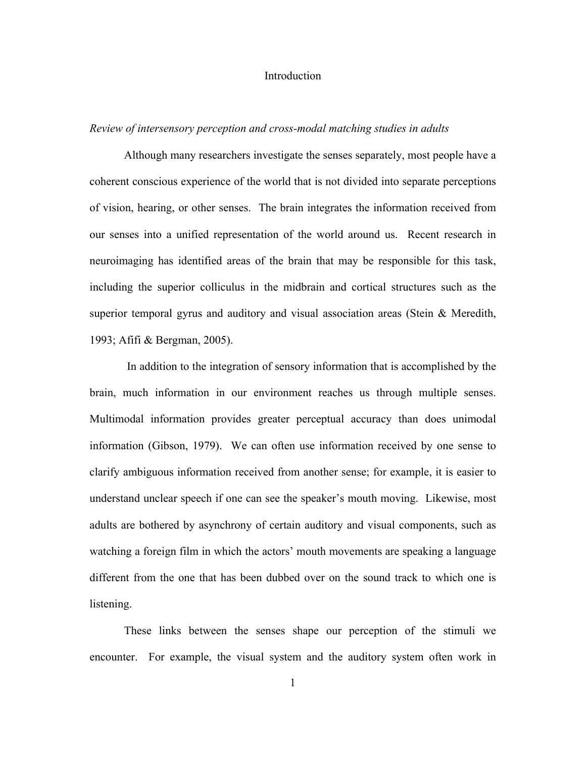#### **Introduction**

#### *Review of intersensory perception and cross-modal matching studies in adults*

Although many researchers investigate the senses separately, most people have a coherent conscious experience of the world that is not divided into separate perceptions of vision, hearing, or other senses. The brain integrates the information received from our senses into a unified representation of the world around us. Recent research in neuroimaging has identified areas of the brain that may be responsible for this task, including the superior colliculus in the midbrain and cortical structures such as the superior temporal gyrus and auditory and visual association areas (Stein & Meredith, 1993; Afifi & Bergman, 2005).

 In addition to the integration of sensory information that is accomplished by the brain, much information in our environment reaches us through multiple senses. Multimodal information provides greater perceptual accuracy than does unimodal information (Gibson, 1979). We can often use information received by one sense to clarify ambiguous information received from another sense; for example, it is easier to understand unclear speech if one can see the speaker's mouth moving. Likewise, most adults are bothered by asynchrony of certain auditory and visual components, such as watching a foreign film in which the actors' mouth movements are speaking a language different from the one that has been dubbed over on the sound track to which one is listening.

These links between the senses shape our perception of the stimuli we encounter. For example, the visual system and the auditory system often work in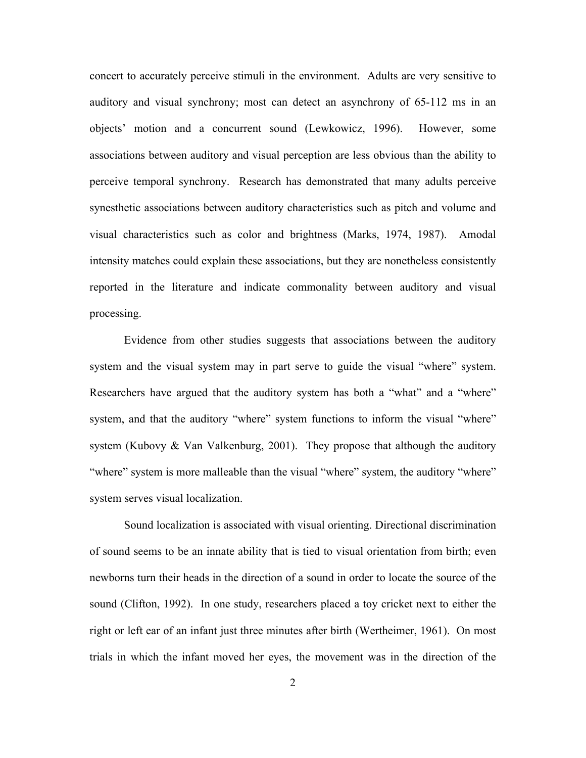concert to accurately perceive stimuli in the environment. Adults are very sensitive to auditory and visual synchrony; most can detect an asynchrony of 65-112 ms in an objects' motion and a concurrent sound (Lewkowicz, 1996). However, some associations between auditory and visual perception are less obvious than the ability to perceive temporal synchrony. Research has demonstrated that many adults perceive synesthetic associations between auditory characteristics such as pitch and volume and visual characteristics such as color and brightness (Marks, 1974, 1987). Amodal intensity matches could explain these associations, but they are nonetheless consistently reported in the literature and indicate commonality between auditory and visual processing.

Evidence from other studies suggests that associations between the auditory system and the visual system may in part serve to guide the visual "where" system. Researchers have argued that the auditory system has both a "what" and a "where" system, and that the auditory "where" system functions to inform the visual "where" system (Kubovy & Van Valkenburg, 2001). They propose that although the auditory "where" system is more malleable than the visual "where" system, the auditory "where" system serves visual localization.

Sound localization is associated with visual orienting. Directional discrimination of sound seems to be an innate ability that is tied to visual orientation from birth; even newborns turn their heads in the direction of a sound in order to locate the source of the sound (Clifton, 1992). In one study, researchers placed a toy cricket next to either the right or left ear of an infant just three minutes after birth (Wertheimer, 1961). On most trials in which the infant moved her eyes, the movement was in the direction of the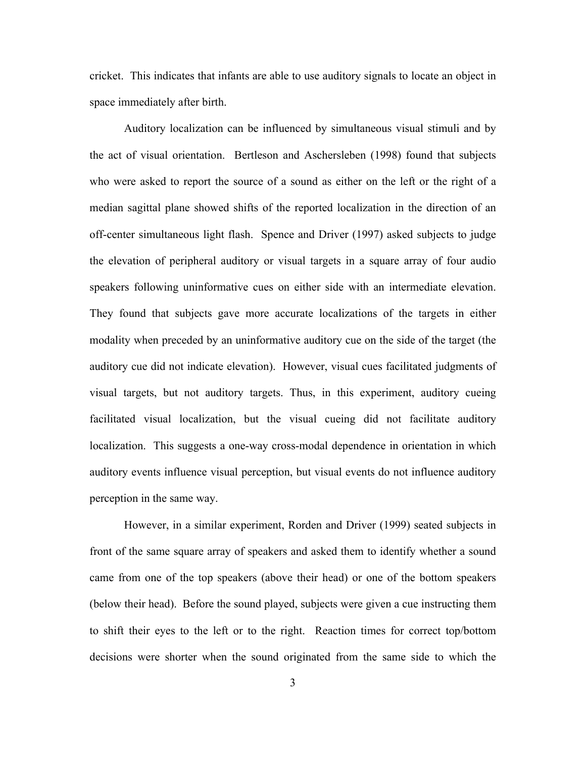cricket. This indicates that infants are able to use auditory signals to locate an object in space immediately after birth.

Auditory localization can be influenced by simultaneous visual stimuli and by the act of visual orientation. Bertleson and Aschersleben (1998) found that subjects who were asked to report the source of a sound as either on the left or the right of a median sagittal plane showed shifts of the reported localization in the direction of an off-center simultaneous light flash. Spence and Driver (1997) asked subjects to judge the elevation of peripheral auditory or visual targets in a square array of four audio speakers following uninformative cues on either side with an intermediate elevation. They found that subjects gave more accurate localizations of the targets in either modality when preceded by an uninformative auditory cue on the side of the target (the auditory cue did not indicate elevation). However, visual cues facilitated judgments of visual targets, but not auditory targets. Thus, in this experiment, auditory cueing facilitated visual localization, but the visual cueing did not facilitate auditory localization. This suggests a one-way cross-modal dependence in orientation in which auditory events influence visual perception, but visual events do not influence auditory perception in the same way.

However, in a similar experiment, Rorden and Driver (1999) seated subjects in front of the same square array of speakers and asked them to identify whether a sound came from one of the top speakers (above their head) or one of the bottom speakers (below their head). Before the sound played, subjects were given a cue instructing them to shift their eyes to the left or to the right. Reaction times for correct top/bottom decisions were shorter when the sound originated from the same side to which the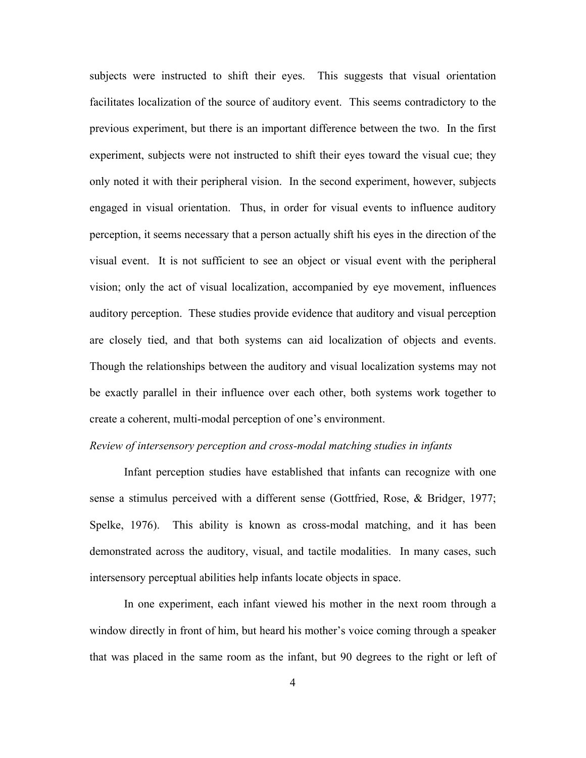subjects were instructed to shift their eyes. This suggests that visual orientation facilitates localization of the source of auditory event. This seems contradictory to the previous experiment, but there is an important difference between the two. In the first experiment, subjects were not instructed to shift their eyes toward the visual cue; they only noted it with their peripheral vision. In the second experiment, however, subjects engaged in visual orientation. Thus, in order for visual events to influence auditory perception, it seems necessary that a person actually shift his eyes in the direction of the visual event. It is not sufficient to see an object or visual event with the peripheral vision; only the act of visual localization, accompanied by eye movement, influences auditory perception. These studies provide evidence that auditory and visual perception are closely tied, and that both systems can aid localization of objects and events. Though the relationships between the auditory and visual localization systems may not be exactly parallel in their influence over each other, both systems work together to create a coherent, multi-modal perception of one's environment.

#### *Review of intersensory perception and cross-modal matching studies in infants*

Infant perception studies have established that infants can recognize with one sense a stimulus perceived with a different sense (Gottfried, Rose, & Bridger, 1977; Spelke, 1976). This ability is known as cross-modal matching, and it has been demonstrated across the auditory, visual, and tactile modalities. In many cases, such intersensory perceptual abilities help infants locate objects in space.

In one experiment, each infant viewed his mother in the next room through a window directly in front of him, but heard his mother's voice coming through a speaker that was placed in the same room as the infant, but 90 degrees to the right or left of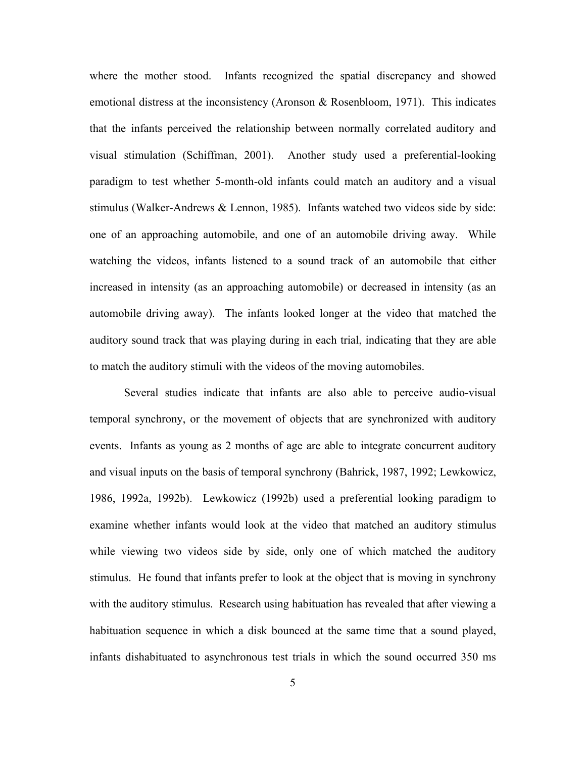where the mother stood. Infants recognized the spatial discrepancy and showed emotional distress at the inconsistency (Aronson & Rosenbloom, 1971). This indicates that the infants perceived the relationship between normally correlated auditory and visual stimulation (Schiffman, 2001). Another study used a preferential-looking paradigm to test whether 5-month-old infants could match an auditory and a visual stimulus (Walker-Andrews & Lennon, 1985). Infants watched two videos side by side: one of an approaching automobile, and one of an automobile driving away. While watching the videos, infants listened to a sound track of an automobile that either increased in intensity (as an approaching automobile) or decreased in intensity (as an automobile driving away). The infants looked longer at the video that matched the auditory sound track that was playing during in each trial, indicating that they are able to match the auditory stimuli with the videos of the moving automobiles.

Several studies indicate that infants are also able to perceive audio-visual temporal synchrony, or the movement of objects that are synchronized with auditory events. Infants as young as 2 months of age are able to integrate concurrent auditory and visual inputs on the basis of temporal synchrony (Bahrick, 1987, 1992; Lewkowicz, 1986, 1992a, 1992b). Lewkowicz (1992b) used a preferential looking paradigm to examine whether infants would look at the video that matched an auditory stimulus while viewing two videos side by side, only one of which matched the auditory stimulus. He found that infants prefer to look at the object that is moving in synchrony with the auditory stimulus. Research using habituation has revealed that after viewing a habituation sequence in which a disk bounced at the same time that a sound played, infants dishabituated to asynchronous test trials in which the sound occurred 350 ms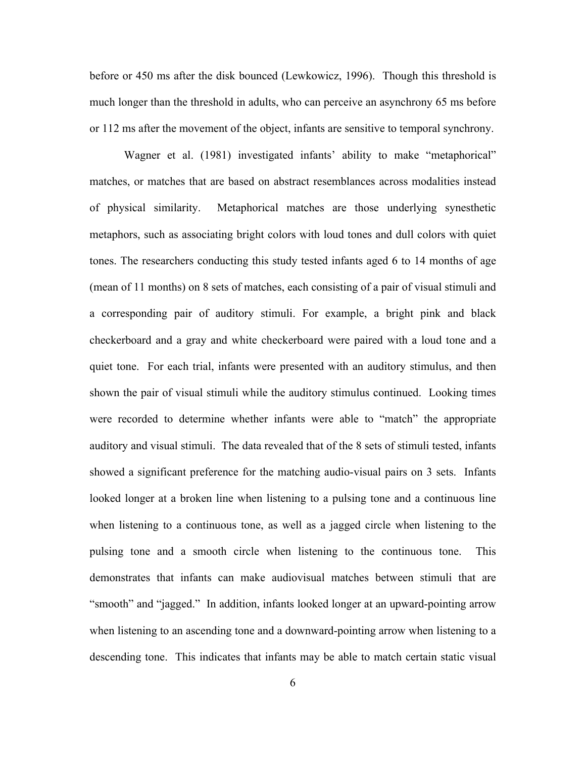before or 450 ms after the disk bounced (Lewkowicz, 1996). Though this threshold is much longer than the threshold in adults, who can perceive an asynchrony 65 ms before or 112 ms after the movement of the object, infants are sensitive to temporal synchrony.

Wagner et al. (1981) investigated infants' ability to make "metaphorical" matches, or matches that are based on abstract resemblances across modalities instead of physical similarity. Metaphorical matches are those underlying synesthetic metaphors, such as associating bright colors with loud tones and dull colors with quiet tones. The researchers conducting this study tested infants aged 6 to 14 months of age (mean of 11 months) on 8 sets of matches, each consisting of a pair of visual stimuli and a corresponding pair of auditory stimuli. For example, a bright pink and black checkerboard and a gray and white checkerboard were paired with a loud tone and a quiet tone. For each trial, infants were presented with an auditory stimulus, and then shown the pair of visual stimuli while the auditory stimulus continued. Looking times were recorded to determine whether infants were able to "match" the appropriate auditory and visual stimuli. The data revealed that of the 8 sets of stimuli tested, infants showed a significant preference for the matching audio-visual pairs on 3 sets. Infants looked longer at a broken line when listening to a pulsing tone and a continuous line when listening to a continuous tone, as well as a jagged circle when listening to the pulsing tone and a smooth circle when listening to the continuous tone. This demonstrates that infants can make audiovisual matches between stimuli that are "smooth" and "jagged." In addition, infants looked longer at an upward-pointing arrow when listening to an ascending tone and a downward-pointing arrow when listening to a descending tone. This indicates that infants may be able to match certain static visual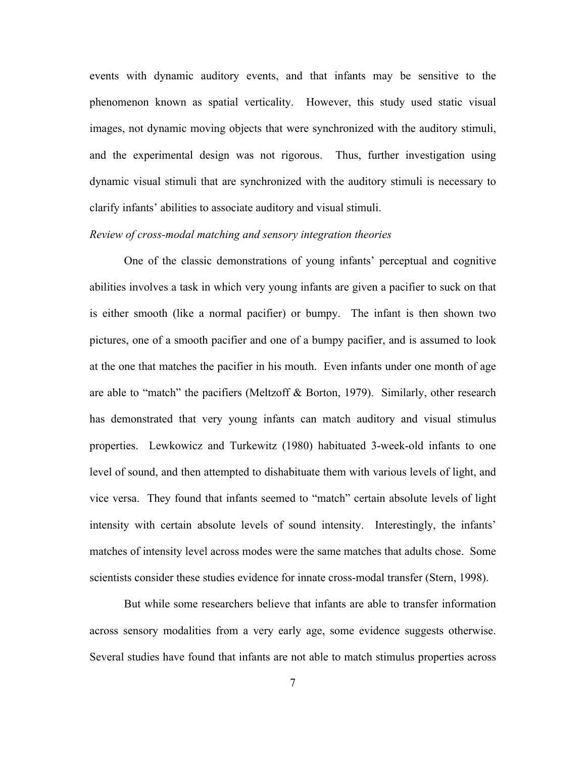events with dynamic auditory events, and that infants may be sensitive to the phenomenon known as spatial verticality. However, this study used static visual images, not dynamic moving objects that were synchronized with the auditory stimuli, and the experimental design was not rigorous. Thus, further investigation using dynamic visual stimuli that are synchronized with the auditory stimuli is necessary to clarify infants' abilities to associate auditory and visual stimuli.

#### *Review of cross-modal matching and sensory integration theories*

One of the classic demonstrations of young infants' perceptual and cognitive abilities involves a task in which very young infants are given a pacifier to suck on that is either smooth (like a normal pacifier) or bumpy. The infant is then shown two pictures, one of a smooth pacifier and one of a bumpy pacifier, and is assumed to look at the one that matches the pacifier in his mouth. Even infants under one month of age are able to "match" the pacifiers (Meltzoff & Borton, 1979). Similarly, other research has demonstrated that very young infants can match auditory and visual stimulus properties. Lewkowicz and Turkewitz (1980) habituated 3-week-old infants to one level of sound, and then attempted to dishabituate them with various levels of light, and vice versa. They found that infants seemed to "match" certain absolute levels of light intensity with certain absolute levels of sound intensity. Interestingly, the infants' matches of intensity level across modes were the same matches that adults chose. Some scientists consider these studies evidence for innate cross-modal transfer (Stern, 1998).

But while some researchers believe that infants are able to transfer information across sensory modalities from a very early age, some evidence suggests otherwise. Several studies have found that infants are not able to match stimulus properties across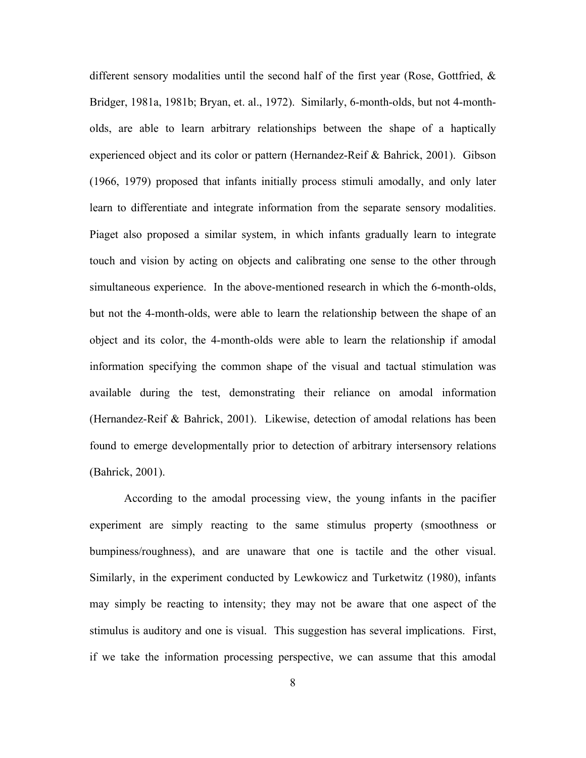different sensory modalities until the second half of the first year (Rose, Gottfried,  $\&$ Bridger, 1981a, 1981b; Bryan, et. al., 1972). Similarly, 6-month-olds, but not 4-montholds, are able to learn arbitrary relationships between the shape of a haptically experienced object and its color or pattern (Hernandez-Reif & Bahrick, 2001). Gibson (1966, 1979) proposed that infants initially process stimuli amodally, and only later learn to differentiate and integrate information from the separate sensory modalities. Piaget also proposed a similar system, in which infants gradually learn to integrate touch and vision by acting on objects and calibrating one sense to the other through simultaneous experience. In the above-mentioned research in which the 6-month-olds, but not the 4-month-olds, were able to learn the relationship between the shape of an object and its color, the 4-month-olds were able to learn the relationship if amodal information specifying the common shape of the visual and tactual stimulation was available during the test, demonstrating their reliance on amodal information (Hernandez-Reif & Bahrick, 2001). Likewise, detection of amodal relations has been found to emerge developmentally prior to detection of arbitrary intersensory relations (Bahrick, 2001).

According to the amodal processing view, the young infants in the pacifier experiment are simply reacting to the same stimulus property (smoothness or bumpiness/roughness), and are unaware that one is tactile and the other visual. Similarly, in the experiment conducted by Lewkowicz and Turketwitz (1980), infants may simply be reacting to intensity; they may not be aware that one aspect of the stimulus is auditory and one is visual. This suggestion has several implications. First, if we take the information processing perspective, we can assume that this amodal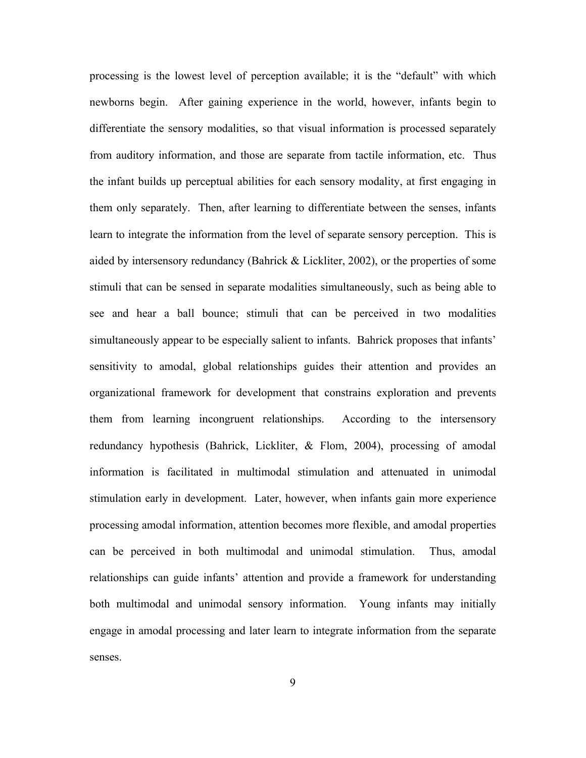processing is the lowest level of perception available; it is the "default" with which newborns begin. After gaining experience in the world, however, infants begin to differentiate the sensory modalities, so that visual information is processed separately from auditory information, and those are separate from tactile information, etc. Thus the infant builds up perceptual abilities for each sensory modality, at first engaging in them only separately. Then, after learning to differentiate between the senses, infants learn to integrate the information from the level of separate sensory perception. This is aided by intersensory redundancy (Bahrick & Lickliter, 2002), or the properties of some stimuli that can be sensed in separate modalities simultaneously, such as being able to see and hear a ball bounce; stimuli that can be perceived in two modalities simultaneously appear to be especially salient to infants. Bahrick proposes that infants' sensitivity to amodal, global relationships guides their attention and provides an organizational framework for development that constrains exploration and prevents them from learning incongruent relationships. According to the intersensory redundancy hypothesis (Bahrick, Lickliter, & Flom, 2004), processing of amodal information is facilitated in multimodal stimulation and attenuated in unimodal stimulation early in development. Later, however, when infants gain more experience processing amodal information, attention becomes more flexible, and amodal properties can be perceived in both multimodal and unimodal stimulation. Thus, amodal relationships can guide infants' attention and provide a framework for understanding both multimodal and unimodal sensory information. Young infants may initially engage in amodal processing and later learn to integrate information from the separate senses.

9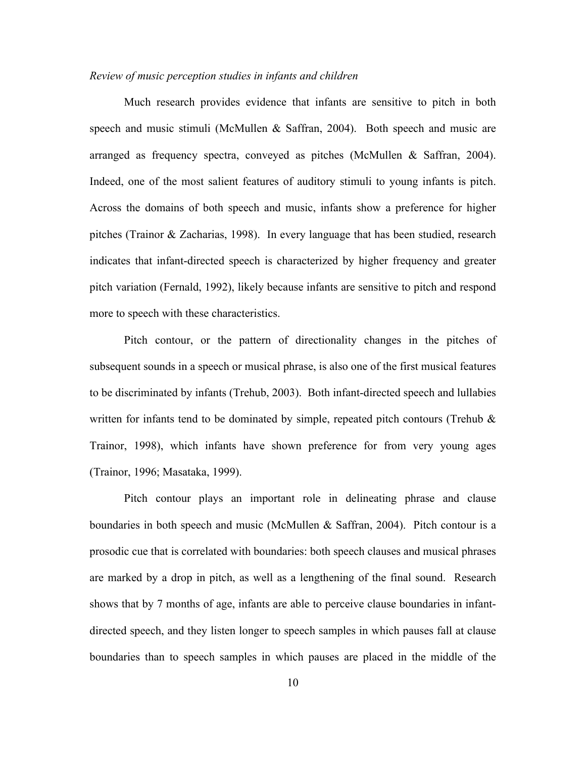#### *Review of music perception studies in infants and children*

Much research provides evidence that infants are sensitive to pitch in both speech and music stimuli (McMullen & Saffran, 2004). Both speech and music are arranged as frequency spectra, conveyed as pitches (McMullen & Saffran, 2004). Indeed, one of the most salient features of auditory stimuli to young infants is pitch. Across the domains of both speech and music, infants show a preference for higher pitches (Trainor & Zacharias, 1998). In every language that has been studied, research indicates that infant-directed speech is characterized by higher frequency and greater pitch variation (Fernald, 1992), likely because infants are sensitive to pitch and respond more to speech with these characteristics.

Pitch contour, or the pattern of directionality changes in the pitches of subsequent sounds in a speech or musical phrase, is also one of the first musical features to be discriminated by infants (Trehub, 2003). Both infant-directed speech and lullabies written for infants tend to be dominated by simple, repeated pitch contours (Trehub  $\&$ Trainor, 1998), which infants have shown preference for from very young ages (Trainor, 1996; Masataka, 1999).

Pitch contour plays an important role in delineating phrase and clause boundaries in both speech and music (McMullen & Saffran, 2004). Pitch contour is a prosodic cue that is correlated with boundaries: both speech clauses and musical phrases are marked by a drop in pitch, as well as a lengthening of the final sound. Research shows that by 7 months of age, infants are able to perceive clause boundaries in infantdirected speech, and they listen longer to speech samples in which pauses fall at clause boundaries than to speech samples in which pauses are placed in the middle of the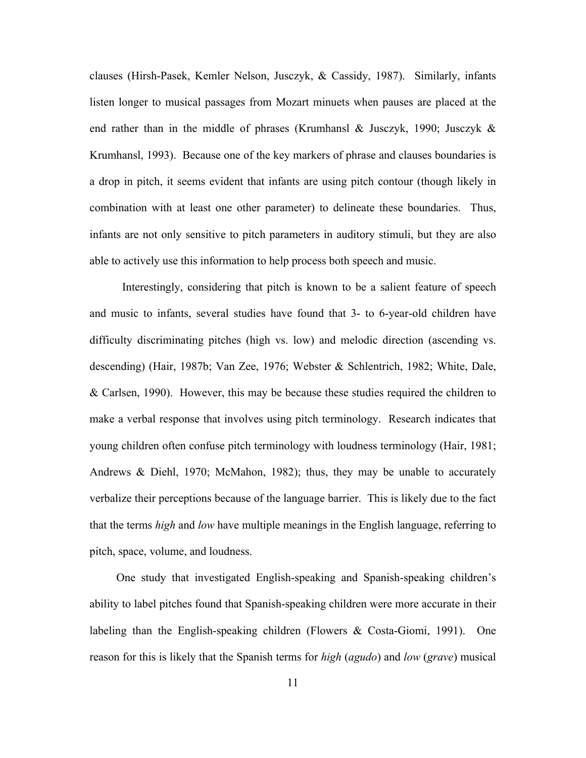clauses (Hirsh-Pasek, Kemler Nelson, Jusczyk, & Cassidy, 1987). Similarly, infants listen longer to musical passages from Mozart minuets when pauses are placed at the end rather than in the middle of phrases (Krumhansl & Jusczyk, 1990; Jusczyk & Krumhansl, 1993). Because one of the key markers of phrase and clauses boundaries is a drop in pitch, it seems evident that infants are using pitch contour (though likely in combination with at least one other parameter) to delineate these boundaries. Thus, infants are not only sensitive to pitch parameters in auditory stimuli, but they are also able to actively use this information to help process both speech and music.

 Interestingly, considering that pitch is known to be a salient feature of speech and music to infants, several studies have found that 3- to 6-year-old children have difficulty discriminating pitches (high vs. low) and melodic direction (ascending vs. descending) (Hair, 1987b; Van Zee, 1976; Webster & Schlentrich, 1982; White, Dale, & Carlsen, 1990). However, this may be because these studies required the children to make a verbal response that involves using pitch terminology. Research indicates that young children often confuse pitch terminology with loudness terminology (Hair, 1981; Andrews & Diehl, 1970; McMahon, 1982); thus, they may be unable to accurately verbalize their perceptions because of the language barrier. This is likely due to the fact that the terms *high* and *low* have multiple meanings in the English language, referring to pitch, space, volume, and loudness.

One study that investigated English-speaking and Spanish-speaking children's ability to label pitches found that Spanish-speaking children were more accurate in their labeling than the English-speaking children (Flowers & Costa-Giomi, 1991). One reason for this is likely that the Spanish terms for *high* (*agudo*) and *low* (*grave*) musical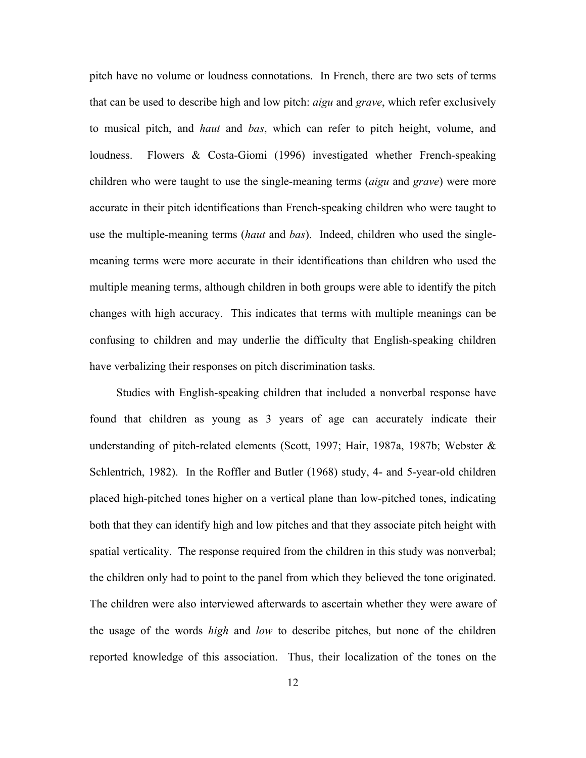pitch have no volume or loudness connotations. In French, there are two sets of terms that can be used to describe high and low pitch: *aigu* and *grave*, which refer exclusively to musical pitch, and *haut* and *bas*, which can refer to pitch height, volume, and loudness. Flowers & Costa-Giomi (1996) investigated whether French-speaking children who were taught to use the single-meaning terms (*aigu* and *grave*) were more accurate in their pitch identifications than French-speaking children who were taught to use the multiple-meaning terms (*haut* and *bas*). Indeed, children who used the singlemeaning terms were more accurate in their identifications than children who used the multiple meaning terms, although children in both groups were able to identify the pitch changes with high accuracy. This indicates that terms with multiple meanings can be confusing to children and may underlie the difficulty that English-speaking children have verbalizing their responses on pitch discrimination tasks.

Studies with English-speaking children that included a nonverbal response have found that children as young as 3 years of age can accurately indicate their understanding of pitch-related elements (Scott, 1997; Hair, 1987a, 1987b; Webster & Schlentrich, 1982). In the Roffler and Butler (1968) study, 4- and 5-year-old children placed high-pitched tones higher on a vertical plane than low-pitched tones, indicating both that they can identify high and low pitches and that they associate pitch height with spatial verticality. The response required from the children in this study was nonverbal; the children only had to point to the panel from which they believed the tone originated. The children were also interviewed afterwards to ascertain whether they were aware of the usage of the words *high* and *low* to describe pitches, but none of the children reported knowledge of this association. Thus, their localization of the tones on the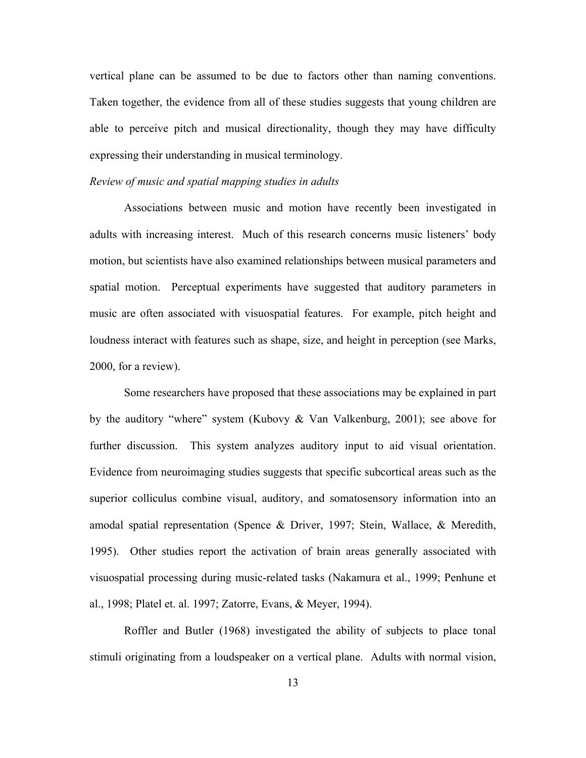vertical plane can be assumed to be due to factors other than naming conventions. Taken together, the evidence from all of these studies suggests that young children are able to perceive pitch and musical directionality, though they may have difficulty expressing their understanding in musical terminology.

#### *Review of music and spatial mapping studies in adults*

Associations between music and motion have recently been investigated in adults with increasing interest. Much of this research concerns music listeners' body motion, but scientists have also examined relationships between musical parameters and spatial motion. Perceptual experiments have suggested that auditory parameters in music are often associated with visuospatial features. For example, pitch height and loudness interact with features such as shape, size, and height in perception (see Marks, 2000, for a review).

Some researchers have proposed that these associations may be explained in part by the auditory "where" system (Kubovy & Van Valkenburg, 2001); see above for further discussion. This system analyzes auditory input to aid visual orientation. Evidence from neuroimaging studies suggests that specific subcortical areas such as the superior colliculus combine visual, auditory, and somatosensory information into an amodal spatial representation (Spence & Driver, 1997; Stein, Wallace, & Meredith, 1995). Other studies report the activation of brain areas generally associated with visuospatial processing during music-related tasks (Nakamura et al., 1999; Penhune et al., 1998; Platel et. al. 1997; Zatorre, Evans, & Meyer, 1994).

Roffler and Butler (1968) investigated the ability of subjects to place tonal stimuli originating from a loudspeaker on a vertical plane. Adults with normal vision,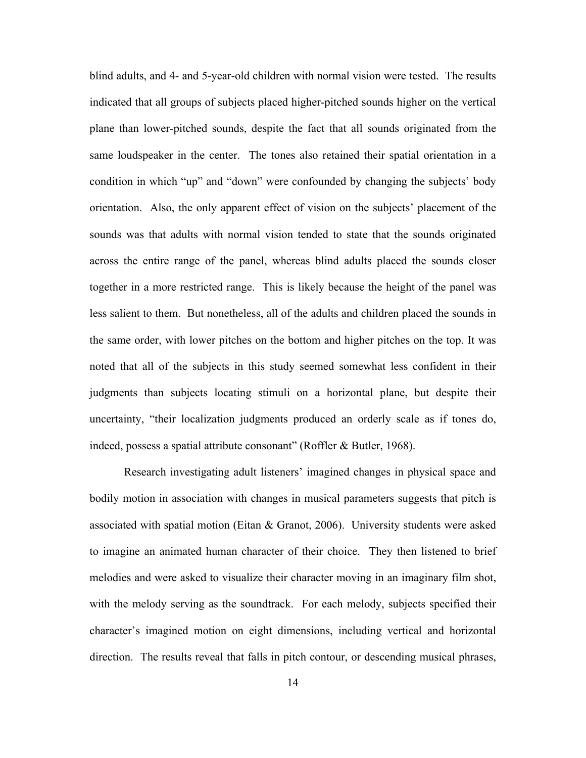blind adults, and 4- and 5-year-old children with normal vision were tested. The results indicated that all groups of subjects placed higher-pitched sounds higher on the vertical plane than lower-pitched sounds, despite the fact that all sounds originated from the same loudspeaker in the center. The tones also retained their spatial orientation in a condition in which "up" and "down" were confounded by changing the subjects' body orientation. Also, the only apparent effect of vision on the subjects' placement of the sounds was that adults with normal vision tended to state that the sounds originated across the entire range of the panel, whereas blind adults placed the sounds closer together in a more restricted range. This is likely because the height of the panel was less salient to them. But nonetheless, all of the adults and children placed the sounds in the same order, with lower pitches on the bottom and higher pitches on the top. It was noted that all of the subjects in this study seemed somewhat less confident in their judgments than subjects locating stimuli on a horizontal plane, but despite their uncertainty, "their localization judgments produced an orderly scale as if tones do, indeed, possess a spatial attribute consonant" (Roffler & Butler, 1968).

Research investigating adult listeners' imagined changes in physical space and bodily motion in association with changes in musical parameters suggests that pitch is associated with spatial motion (Eitan & Granot, 2006). University students were asked to imagine an animated human character of their choice. They then listened to brief melodies and were asked to visualize their character moving in an imaginary film shot, with the melody serving as the soundtrack. For each melody, subjects specified their character's imagined motion on eight dimensions, including vertical and horizontal direction. The results reveal that falls in pitch contour, or descending musical phrases,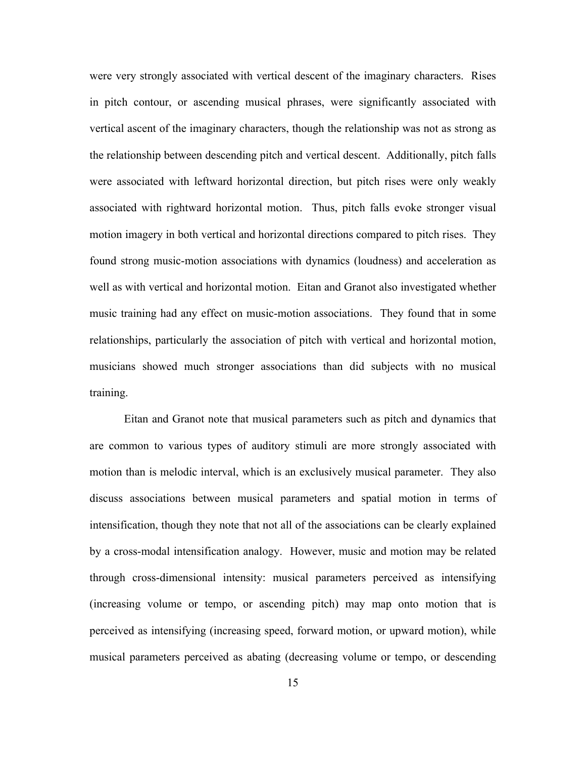were very strongly associated with vertical descent of the imaginary characters. Rises in pitch contour, or ascending musical phrases, were significantly associated with vertical ascent of the imaginary characters, though the relationship was not as strong as the relationship between descending pitch and vertical descent. Additionally, pitch falls were associated with leftward horizontal direction, but pitch rises were only weakly associated with rightward horizontal motion. Thus, pitch falls evoke stronger visual motion imagery in both vertical and horizontal directions compared to pitch rises. They found strong music-motion associations with dynamics (loudness) and acceleration as well as with vertical and horizontal motion. Eitan and Granot also investigated whether music training had any effect on music-motion associations. They found that in some relationships, particularly the association of pitch with vertical and horizontal motion, musicians showed much stronger associations than did subjects with no musical training.

Eitan and Granot note that musical parameters such as pitch and dynamics that are common to various types of auditory stimuli are more strongly associated with motion than is melodic interval, which is an exclusively musical parameter. They also discuss associations between musical parameters and spatial motion in terms of intensification, though they note that not all of the associations can be clearly explained by a cross-modal intensification analogy. However, music and motion may be related through cross-dimensional intensity: musical parameters perceived as intensifying (increasing volume or tempo, or ascending pitch) may map onto motion that is perceived as intensifying (increasing speed, forward motion, or upward motion), while musical parameters perceived as abating (decreasing volume or tempo, or descending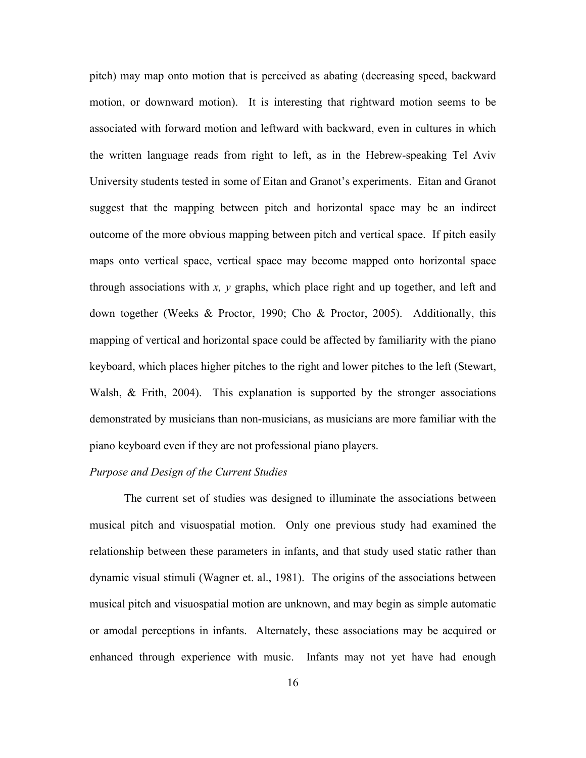pitch) may map onto motion that is perceived as abating (decreasing speed, backward motion, or downward motion). It is interesting that rightward motion seems to be associated with forward motion and leftward with backward, even in cultures in which the written language reads from right to left, as in the Hebrew-speaking Tel Aviv University students tested in some of Eitan and Granot's experiments. Eitan and Granot suggest that the mapping between pitch and horizontal space may be an indirect outcome of the more obvious mapping between pitch and vertical space. If pitch easily maps onto vertical space, vertical space may become mapped onto horizontal space through associations with *x, y* graphs, which place right and up together, and left and down together (Weeks & Proctor, 1990; Cho & Proctor, 2005). Additionally, this mapping of vertical and horizontal space could be affected by familiarity with the piano keyboard, which places higher pitches to the right and lower pitches to the left (Stewart, Walsh, & Frith, 2004). This explanation is supported by the stronger associations demonstrated by musicians than non-musicians, as musicians are more familiar with the piano keyboard even if they are not professional piano players.

#### *Purpose and Design of the Current Studies*

The current set of studies was designed to illuminate the associations between musical pitch and visuospatial motion. Only one previous study had examined the relationship between these parameters in infants, and that study used static rather than dynamic visual stimuli (Wagner et. al., 1981). The origins of the associations between musical pitch and visuospatial motion are unknown, and may begin as simple automatic or amodal perceptions in infants. Alternately, these associations may be acquired or enhanced through experience with music. Infants may not yet have had enough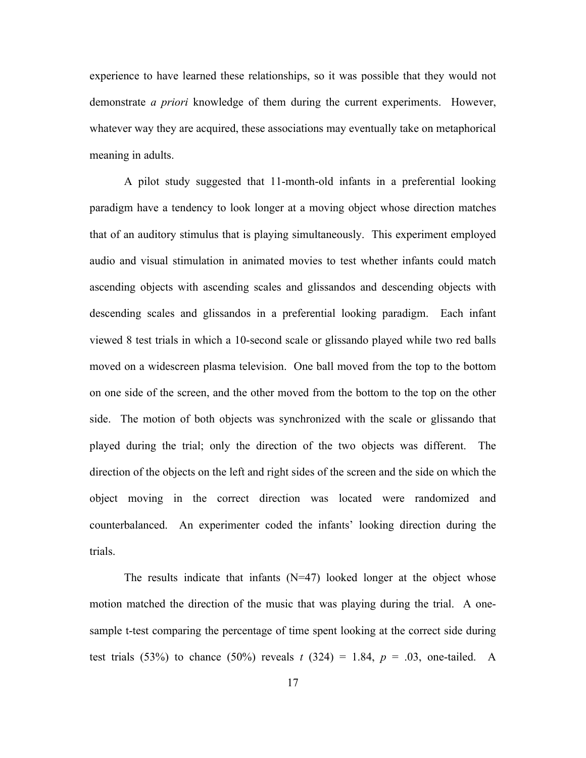experience to have learned these relationships, so it was possible that they would not demonstrate *a priori* knowledge of them during the current experiments. However, whatever way they are acquired, these associations may eventually take on metaphorical meaning in adults.

A pilot study suggested that 11-month-old infants in a preferential looking paradigm have a tendency to look longer at a moving object whose direction matches that of an auditory stimulus that is playing simultaneously. This experiment employed audio and visual stimulation in animated movies to test whether infants could match ascending objects with ascending scales and glissandos and descending objects with descending scales and glissandos in a preferential looking paradigm. Each infant viewed 8 test trials in which a 10-second scale or glissando played while two red balls moved on a widescreen plasma television. One ball moved from the top to the bottom on one side of the screen, and the other moved from the bottom to the top on the other side. The motion of both objects was synchronized with the scale or glissando that played during the trial; only the direction of the two objects was different. The direction of the objects on the left and right sides of the screen and the side on which the object moving in the correct direction was located were randomized and counterbalanced. An experimenter coded the infants' looking direction during the trials.

The results indicate that infants  $(N=47)$  looked longer at the object whose motion matched the direction of the music that was playing during the trial. A onesample t-test comparing the percentage of time spent looking at the correct side during test trials (53%) to chance (50%) reveals  $t$  (324) = 1.84,  $p = .03$ , one-tailed. A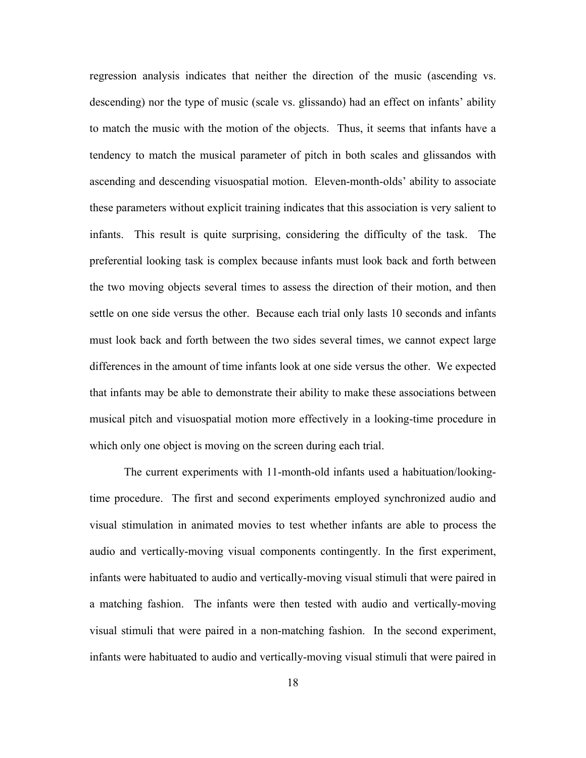regression analysis indicates that neither the direction of the music (ascending vs. descending) nor the type of music (scale vs. glissando) had an effect on infants' ability to match the music with the motion of the objects. Thus, it seems that infants have a tendency to match the musical parameter of pitch in both scales and glissandos with ascending and descending visuospatial motion. Eleven-month-olds' ability to associate these parameters without explicit training indicates that this association is very salient to infants. This result is quite surprising, considering the difficulty of the task. The preferential looking task is complex because infants must look back and forth between the two moving objects several times to assess the direction of their motion, and then settle on one side versus the other. Because each trial only lasts 10 seconds and infants must look back and forth between the two sides several times, we cannot expect large differences in the amount of time infants look at one side versus the other. We expected that infants may be able to demonstrate their ability to make these associations between musical pitch and visuospatial motion more effectively in a looking-time procedure in which only one object is moving on the screen during each trial.

The current experiments with 11-month-old infants used a habituation/lookingtime procedure. The first and second experiments employed synchronized audio and visual stimulation in animated movies to test whether infants are able to process the audio and vertically-moving visual components contingently. In the first experiment, infants were habituated to audio and vertically-moving visual stimuli that were paired in a matching fashion. The infants were then tested with audio and vertically-moving visual stimuli that were paired in a non-matching fashion. In the second experiment, infants were habituated to audio and vertically-moving visual stimuli that were paired in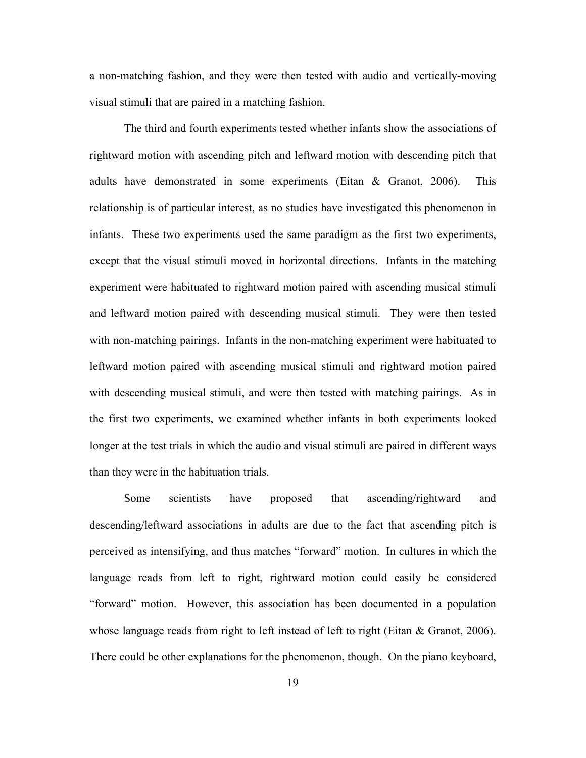a non-matching fashion, and they were then tested with audio and vertically-moving visual stimuli that are paired in a matching fashion.

The third and fourth experiments tested whether infants show the associations of rightward motion with ascending pitch and leftward motion with descending pitch that adults have demonstrated in some experiments (Eitan & Granot, 2006). This relationship is of particular interest, as no studies have investigated this phenomenon in infants. These two experiments used the same paradigm as the first two experiments, except that the visual stimuli moved in horizontal directions. Infants in the matching experiment were habituated to rightward motion paired with ascending musical stimuli and leftward motion paired with descending musical stimuli. They were then tested with non-matching pairings. Infants in the non-matching experiment were habituated to leftward motion paired with ascending musical stimuli and rightward motion paired with descending musical stimuli, and were then tested with matching pairings. As in the first two experiments, we examined whether infants in both experiments looked longer at the test trials in which the audio and visual stimuli are paired in different ways than they were in the habituation trials.

Some scientists have proposed that ascending/rightward and descending/leftward associations in adults are due to the fact that ascending pitch is perceived as intensifying, and thus matches "forward" motion. In cultures in which the language reads from left to right, rightward motion could easily be considered "forward" motion. However, this association has been documented in a population whose language reads from right to left instead of left to right (Eitan & Granot, 2006). There could be other explanations for the phenomenon, though. On the piano keyboard,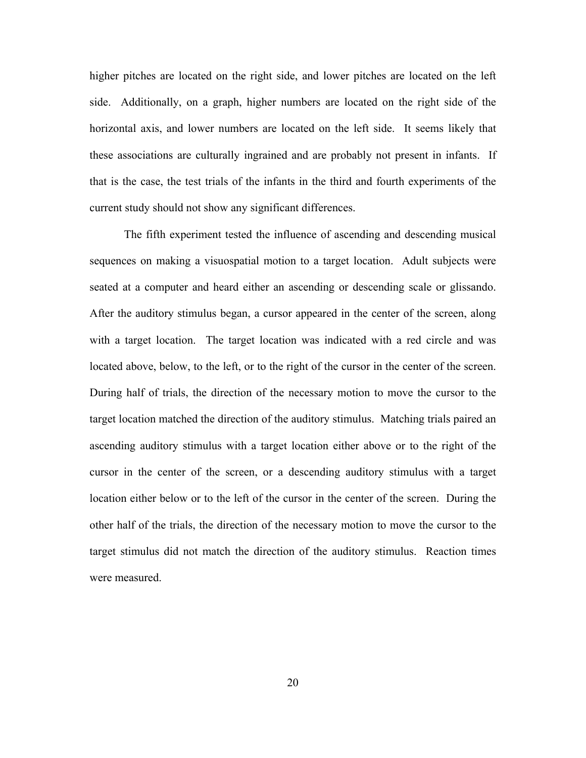higher pitches are located on the right side, and lower pitches are located on the left side. Additionally, on a graph, higher numbers are located on the right side of the horizontal axis, and lower numbers are located on the left side. It seems likely that these associations are culturally ingrained and are probably not present in infants. If that is the case, the test trials of the infants in the third and fourth experiments of the current study should not show any significant differences.

The fifth experiment tested the influence of ascending and descending musical sequences on making a visuospatial motion to a target location. Adult subjects were seated at a computer and heard either an ascending or descending scale or glissando. After the auditory stimulus began, a cursor appeared in the center of the screen, along with a target location. The target location was indicated with a red circle and was located above, below, to the left, or to the right of the cursor in the center of the screen. During half of trials, the direction of the necessary motion to move the cursor to the target location matched the direction of the auditory stimulus. Matching trials paired an ascending auditory stimulus with a target location either above or to the right of the cursor in the center of the screen, or a descending auditory stimulus with a target location either below or to the left of the cursor in the center of the screen. During the other half of the trials, the direction of the necessary motion to move the cursor to the target stimulus did not match the direction of the auditory stimulus. Reaction times were measured.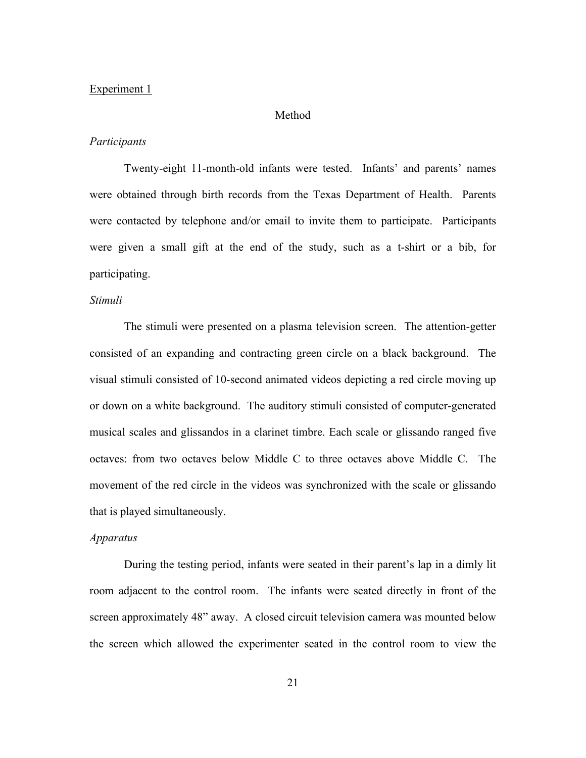#### Experiment 1

#### Method

#### *Participants*

Twenty-eight 11-month-old infants were tested. Infants' and parents' names were obtained through birth records from the Texas Department of Health. Parents were contacted by telephone and/or email to invite them to participate. Participants were given a small gift at the end of the study, such as a t-shirt or a bib, for participating.

#### *Stimuli*

The stimuli were presented on a plasma television screen. The attention-getter consisted of an expanding and contracting green circle on a black background. The visual stimuli consisted of 10-second animated videos depicting a red circle moving up or down on a white background. The auditory stimuli consisted of computer-generated musical scales and glissandos in a clarinet timbre. Each scale or glissando ranged five octaves: from two octaves below Middle C to three octaves above Middle C. The movement of the red circle in the videos was synchronized with the scale or glissando that is played simultaneously.

#### *Apparatus*

During the testing period, infants were seated in their parent's lap in a dimly lit room adjacent to the control room. The infants were seated directly in front of the screen approximately 48" away. A closed circuit television camera was mounted below the screen which allowed the experimenter seated in the control room to view the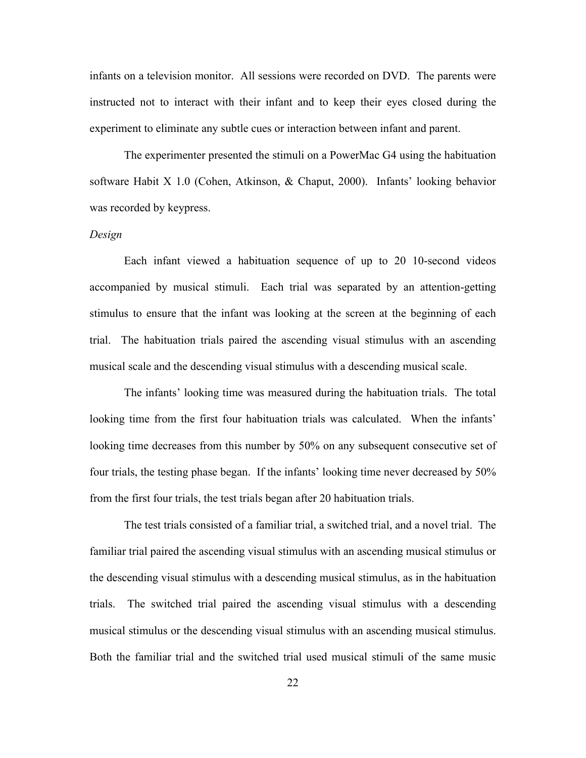infants on a television monitor. All sessions were recorded on DVD. The parents were instructed not to interact with their infant and to keep their eyes closed during the experiment to eliminate any subtle cues or interaction between infant and parent.

The experimenter presented the stimuli on a PowerMac G4 using the habituation software Habit X 1.0 (Cohen, Atkinson, & Chaput, 2000). Infants' looking behavior was recorded by keypress.

#### *Design*

Each infant viewed a habituation sequence of up to 20 10-second videos accompanied by musical stimuli. Each trial was separated by an attention-getting stimulus to ensure that the infant was looking at the screen at the beginning of each trial. The habituation trials paired the ascending visual stimulus with an ascending musical scale and the descending visual stimulus with a descending musical scale.

The infants' looking time was measured during the habituation trials. The total looking time from the first four habituation trials was calculated. When the infants' looking time decreases from this number by 50% on any subsequent consecutive set of four trials, the testing phase began. If the infants' looking time never decreased by 50% from the first four trials, the test trials began after 20 habituation trials.

The test trials consisted of a familiar trial, a switched trial, and a novel trial. The familiar trial paired the ascending visual stimulus with an ascending musical stimulus or the descending visual stimulus with a descending musical stimulus, as in the habituation trials. The switched trial paired the ascending visual stimulus with a descending musical stimulus or the descending visual stimulus with an ascending musical stimulus. Both the familiar trial and the switched trial used musical stimuli of the same music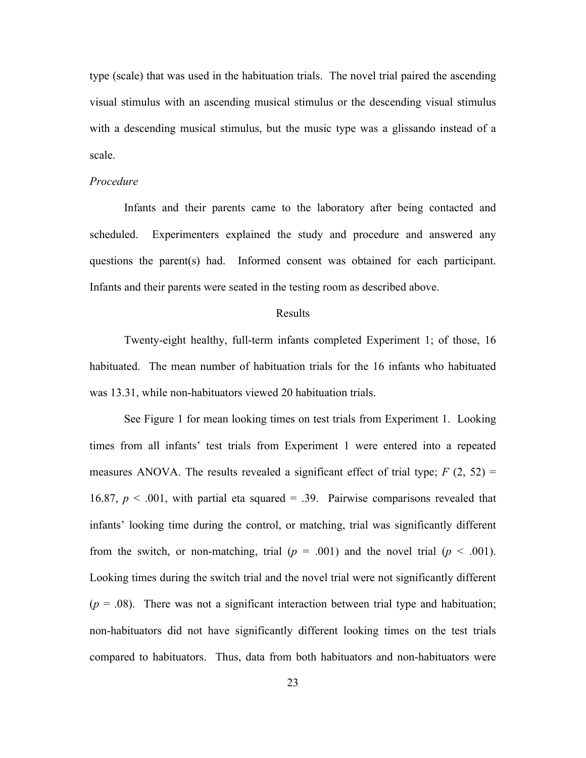type (scale) that was used in the habituation trials. The novel trial paired the ascending visual stimulus with an ascending musical stimulus or the descending visual stimulus with a descending musical stimulus, but the music type was a glissando instead of a scale.

#### *Procedure*

Infants and their parents came to the laboratory after being contacted and scheduled. Experimenters explained the study and procedure and answered any questions the parent(s) had. Informed consent was obtained for each participant. Infants and their parents were seated in the testing room as described above.

#### Results

Twenty-eight healthy, full-term infants completed Experiment 1; of those, 16 habituated. The mean number of habituation trials for the 16 infants who habituated was 13.31, while non-habituators viewed 20 habituation trials.

See Figure 1 for mean looking times on test trials from Experiment 1. Looking times from all infants' test trials from Experiment 1 were entered into a repeated measures ANOVA. The results revealed a significant effect of trial type;  $F(2, 52) =$ 16.87,  $p < .001$ , with partial eta squared = .39. Pairwise comparisons revealed that infants' looking time during the control, or matching, trial was significantly different from the switch, or non-matching, trial  $(p = .001)$  and the novel trial  $(p < .001)$ . Looking times during the switch trial and the novel trial were not significantly different  $(p = .08)$ . There was not a significant interaction between trial type and habituation; non-habituators did not have significantly different looking times on the test trials compared to habituators. Thus, data from both habituators and non-habituators were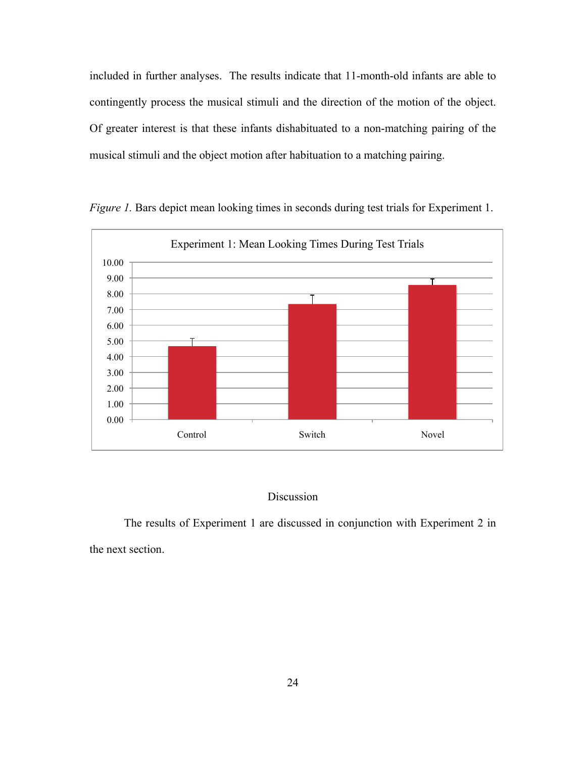included in further analyses. The results indicate that 11-month-old infants are able to contingently process the musical stimuli and the direction of the motion of the object. Of greater interest is that these infants dishabituated to a non-matching pairing of the musical stimuli and the object motion after habituation to a matching pairing.



*Figure 1.* Bars depict mean looking times in seconds during test trials for Experiment 1.

#### Discussion

The results of Experiment 1 are discussed in conjunction with Experiment 2 in the next section.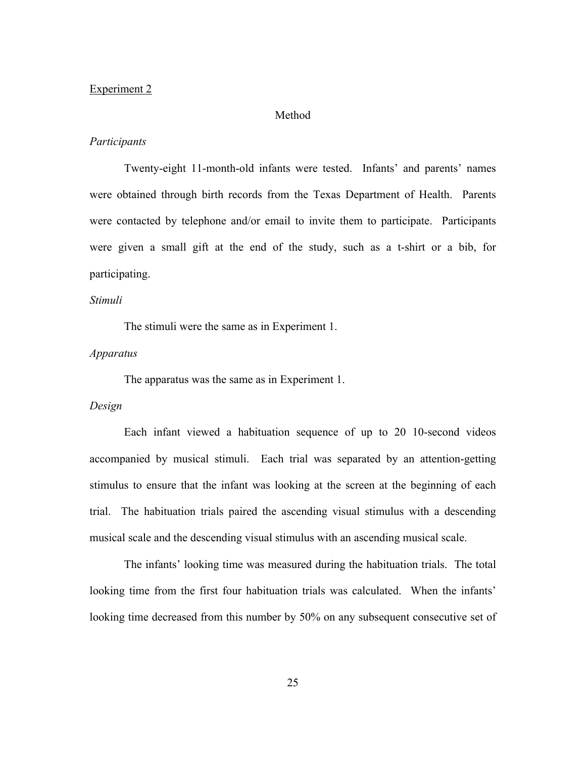#### Experiment 2

#### Method

#### *Participants*

Twenty-eight 11-month-old infants were tested. Infants' and parents' names were obtained through birth records from the Texas Department of Health. Parents were contacted by telephone and/or email to invite them to participate. Participants were given a small gift at the end of the study, such as a t-shirt or a bib, for participating.

#### *Stimuli*

The stimuli were the same as in Experiment 1.

#### *Apparatus*

The apparatus was the same as in Experiment 1.

#### *Design*

Each infant viewed a habituation sequence of up to 20 10-second videos accompanied by musical stimuli. Each trial was separated by an attention-getting stimulus to ensure that the infant was looking at the screen at the beginning of each trial. The habituation trials paired the ascending visual stimulus with a descending musical scale and the descending visual stimulus with an ascending musical scale.

The infants' looking time was measured during the habituation trials. The total looking time from the first four habituation trials was calculated. When the infants' looking time decreased from this number by 50% on any subsequent consecutive set of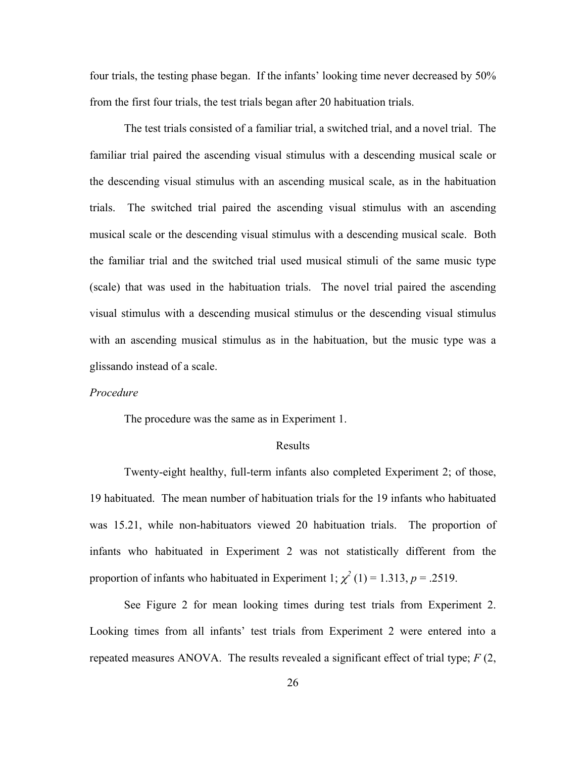four trials, the testing phase began. If the infants' looking time never decreased by 50% from the first four trials, the test trials began after 20 habituation trials.

The test trials consisted of a familiar trial, a switched trial, and a novel trial. The familiar trial paired the ascending visual stimulus with a descending musical scale or the descending visual stimulus with an ascending musical scale, as in the habituation trials. The switched trial paired the ascending visual stimulus with an ascending musical scale or the descending visual stimulus with a descending musical scale. Both the familiar trial and the switched trial used musical stimuli of the same music type (scale) that was used in the habituation trials. The novel trial paired the ascending visual stimulus with a descending musical stimulus or the descending visual stimulus with an ascending musical stimulus as in the habituation, but the music type was a glissando instead of a scale.

#### *Procedure*

The procedure was the same as in Experiment 1.

#### Results

Twenty-eight healthy, full-term infants also completed Experiment 2; of those, 19 habituated. The mean number of habituation trials for the 19 infants who habituated was 15.21, while non-habituators viewed 20 habituation trials. The proportion of infants who habituated in Experiment 2 was not statistically different from the proportion of infants who habituated in Experiment 1;  $\chi^2$  (1) = 1.313, *p* = .2519.

See Figure 2 for mean looking times during test trials from Experiment 2. Looking times from all infants' test trials from Experiment 2 were entered into a repeated measures ANOVA. The results revealed a significant effect of trial type; *F* (2,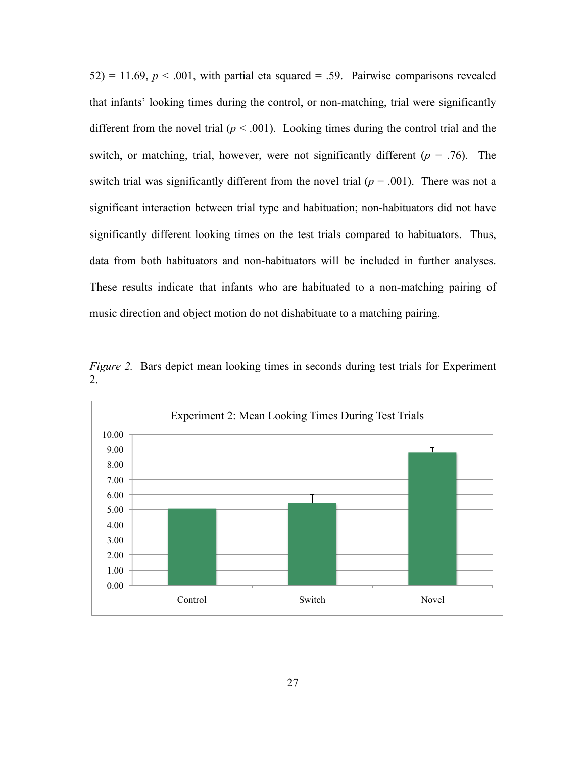$52$ ) = 11.69,  $p < .001$ , with partial eta squared = .59. Pairwise comparisons revealed that infants' looking times during the control, or non-matching, trial were significantly different from the novel trial ( $p < .001$ ). Looking times during the control trial and the switch, or matching, trial, however, were not significantly different ( $p = .76$ ). The switch trial was significantly different from the novel trial  $(p = .001)$ . There was not a significant interaction between trial type and habituation; non-habituators did not have significantly different looking times on the test trials compared to habituators. Thus, data from both habituators and non-habituators will be included in further analyses. These results indicate that infants who are habituated to a non-matching pairing of music direction and object motion do not dishabituate to a matching pairing.

*Figure 2.* Bars depict mean looking times in seconds during test trials for Experiment 2.

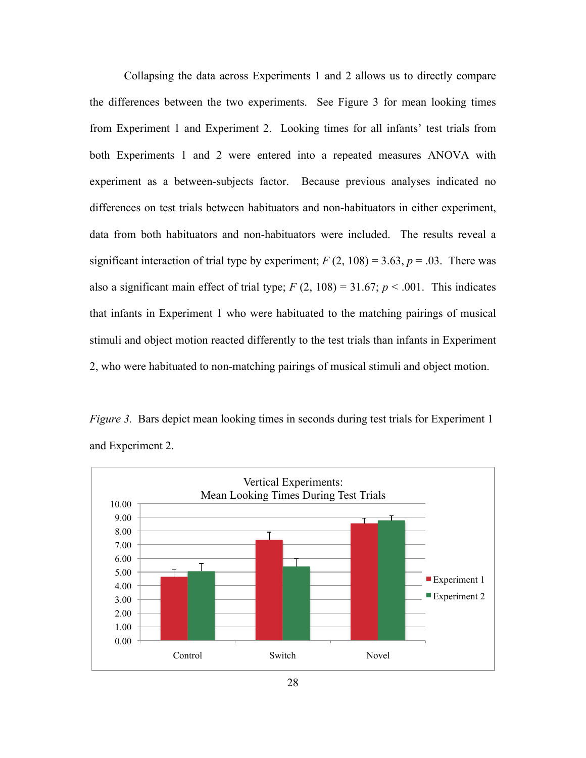Collapsing the data across Experiments 1 and 2 allows us to directly compare the differences between the two experiments. See Figure 3 for mean looking times from Experiment 1 and Experiment 2. Looking times for all infants' test trials from both Experiments 1 and 2 were entered into a repeated measures ANOVA with experiment as a between-subjects factor. Because previous analyses indicated no differences on test trials between habituators and non-habituators in either experiment, data from both habituators and non-habituators were included. The results reveal a significant interaction of trial type by experiment;  $F(2, 108) = 3.63$ ,  $p = .03$ . There was also a significant main effect of trial type;  $F(2, 108) = 31.67$ ;  $p < .001$ . This indicates that infants in Experiment 1 who were habituated to the matching pairings of musical stimuli and object motion reacted differently to the test trials than infants in Experiment 2, who were habituated to non-matching pairings of musical stimuli and object motion.

*Figure 3.* Bars depict mean looking times in seconds during test trials for Experiment 1 and Experiment 2.

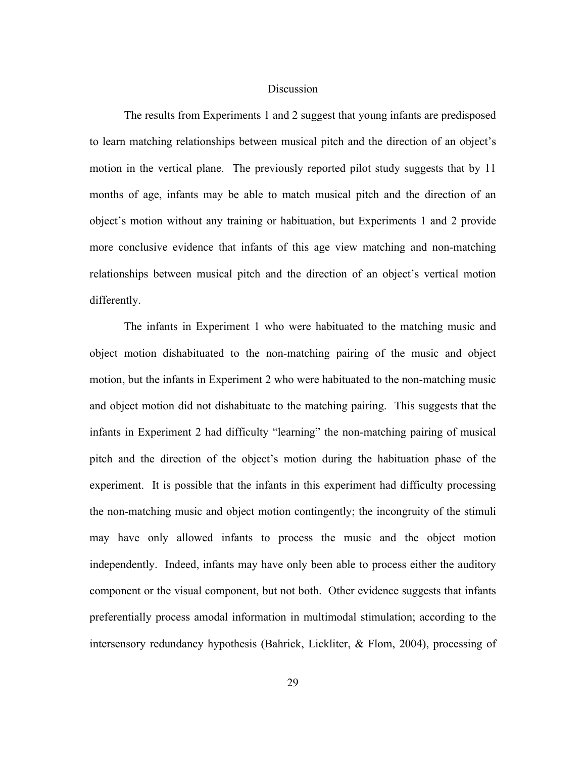## **Discussion**

The results from Experiments 1 and 2 suggest that young infants are predisposed to learn matching relationships between musical pitch and the direction of an object's motion in the vertical plane. The previously reported pilot study suggests that by 11 months of age, infants may be able to match musical pitch and the direction of an object's motion without any training or habituation, but Experiments 1 and 2 provide more conclusive evidence that infants of this age view matching and non-matching relationships between musical pitch and the direction of an object's vertical motion differently.

The infants in Experiment 1 who were habituated to the matching music and object motion dishabituated to the non-matching pairing of the music and object motion, but the infants in Experiment 2 who were habituated to the non-matching music and object motion did not dishabituate to the matching pairing. This suggests that the infants in Experiment 2 had difficulty "learning" the non-matching pairing of musical pitch and the direction of the object's motion during the habituation phase of the experiment. It is possible that the infants in this experiment had difficulty processing the non-matching music and object motion contingently; the incongruity of the stimuli may have only allowed infants to process the music and the object motion independently. Indeed, infants may have only been able to process either the auditory component or the visual component, but not both. Other evidence suggests that infants preferentially process amodal information in multimodal stimulation; according to the intersensory redundancy hypothesis (Bahrick, Lickliter, & Flom, 2004), processing of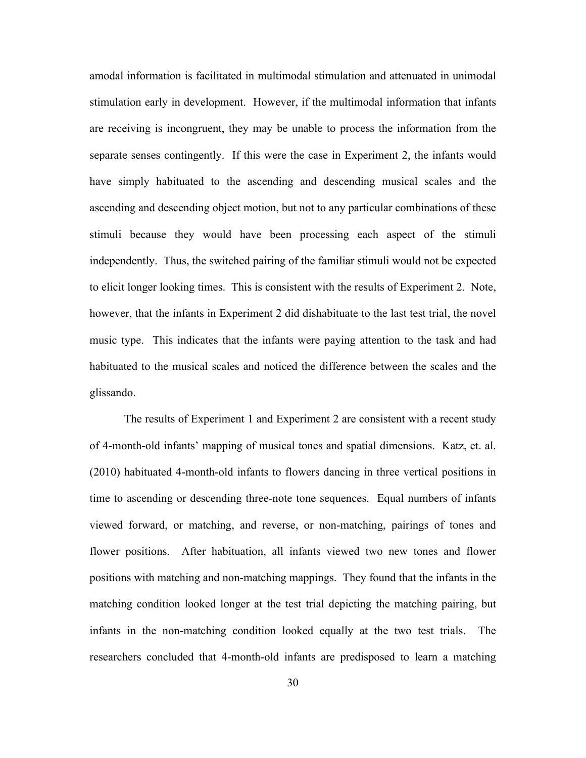amodal information is facilitated in multimodal stimulation and attenuated in unimodal stimulation early in development. However, if the multimodal information that infants are receiving is incongruent, they may be unable to process the information from the separate senses contingently. If this were the case in Experiment 2, the infants would have simply habituated to the ascending and descending musical scales and the ascending and descending object motion, but not to any particular combinations of these stimuli because they would have been processing each aspect of the stimuli independently. Thus, the switched pairing of the familiar stimuli would not be expected to elicit longer looking times. This is consistent with the results of Experiment 2. Note, however, that the infants in Experiment 2 did dishabituate to the last test trial, the novel music type. This indicates that the infants were paying attention to the task and had habituated to the musical scales and noticed the difference between the scales and the glissando.

The results of Experiment 1 and Experiment 2 are consistent with a recent study of 4-month-old infants' mapping of musical tones and spatial dimensions. Katz, et. al. (2010) habituated 4-month-old infants to flowers dancing in three vertical positions in time to ascending or descending three-note tone sequences. Equal numbers of infants viewed forward, or matching, and reverse, or non-matching, pairings of tones and flower positions. After habituation, all infants viewed two new tones and flower positions with matching and non-matching mappings. They found that the infants in the matching condition looked longer at the test trial depicting the matching pairing, but infants in the non-matching condition looked equally at the two test trials. The researchers concluded that 4-month-old infants are predisposed to learn a matching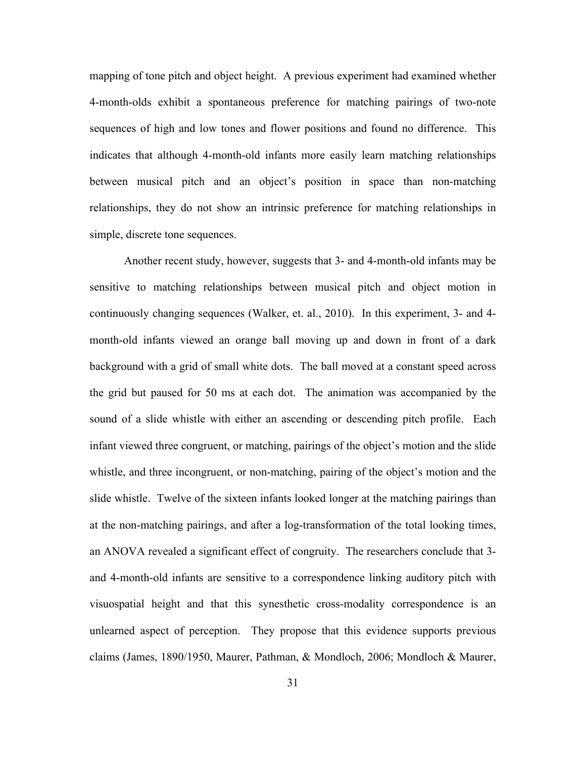mapping of tone pitch and object height. A previous experiment had examined whether 4-month-olds exhibit a spontaneous preference for matching pairings of two-note sequences of high and low tones and flower positions and found no difference. This indicates that although 4-month-old infants more easily learn matching relationships between musical pitch and an object's position in space than non-matching relationships, they do not show an intrinsic preference for matching relationships in simple, discrete tone sequences.

Another recent study, however, suggests that 3- and 4-month-old infants may be sensitive to matching relationships between musical pitch and object motion in continuously changing sequences (Walker, et. al., 2010). In this experiment, 3- and 4 month-old infants viewed an orange ball moving up and down in front of a dark background with a grid of small white dots. The ball moved at a constant speed across the grid but paused for 50 ms at each dot. The animation was accompanied by the sound of a slide whistle with either an ascending or descending pitch profile. Each infant viewed three congruent, or matching, pairings of the object's motion and the slide whistle, and three incongruent, or non-matching, pairing of the object's motion and the slide whistle. Twelve of the sixteen infants looked longer at the matching pairings than at the non-matching pairings, and after a log-transformation of the total looking times, an ANOVA revealed a significant effect of congruity. The researchers conclude that 3 and 4-month-old infants are sensitive to a correspondence linking auditory pitch with visuospatial height and that this synesthetic cross-modality correspondence is an unlearned aspect of perception. They propose that this evidence supports previous claims (James, 1890/1950, Maurer, Pathman, & Mondloch, 2006; Mondloch & Maurer,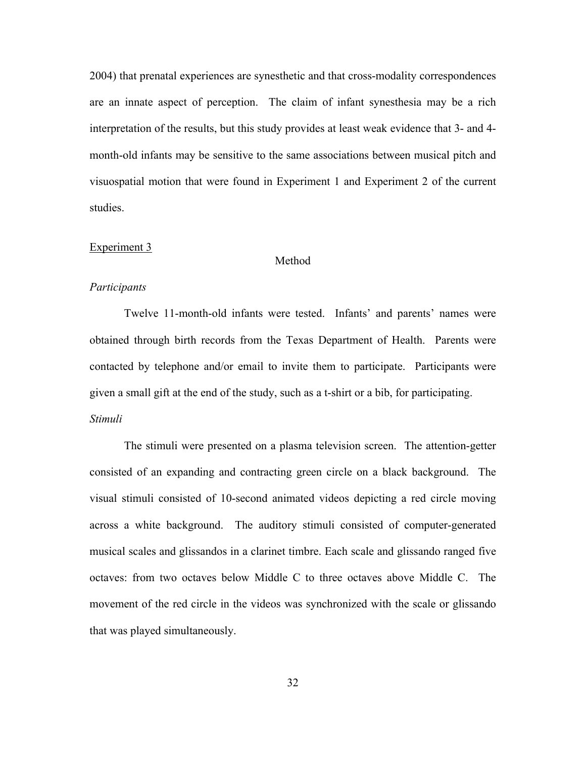2004) that prenatal experiences are synesthetic and that cross-modality correspondences are an innate aspect of perception. The claim of infant synesthesia may be a rich interpretation of the results, but this study provides at least weak evidence that 3- and 4 month-old infants may be sensitive to the same associations between musical pitch and visuospatial motion that were found in Experiment 1 and Experiment 2 of the current studies.

## Experiment 3

### Method

## *Participants*

Twelve 11-month-old infants were tested. Infants' and parents' names were obtained through birth records from the Texas Department of Health. Parents were contacted by telephone and/or email to invite them to participate. Participants were given a small gift at the end of the study, such as a t-shirt or a bib, for participating. *Stimuli*

The stimuli were presented on a plasma television screen. The attention-getter consisted of an expanding and contracting green circle on a black background. The visual stimuli consisted of 10-second animated videos depicting a red circle moving across a white background. The auditory stimuli consisted of computer-generated musical scales and glissandos in a clarinet timbre. Each scale and glissando ranged five octaves: from two octaves below Middle C to three octaves above Middle C. The movement of the red circle in the videos was synchronized with the scale or glissando that was played simultaneously.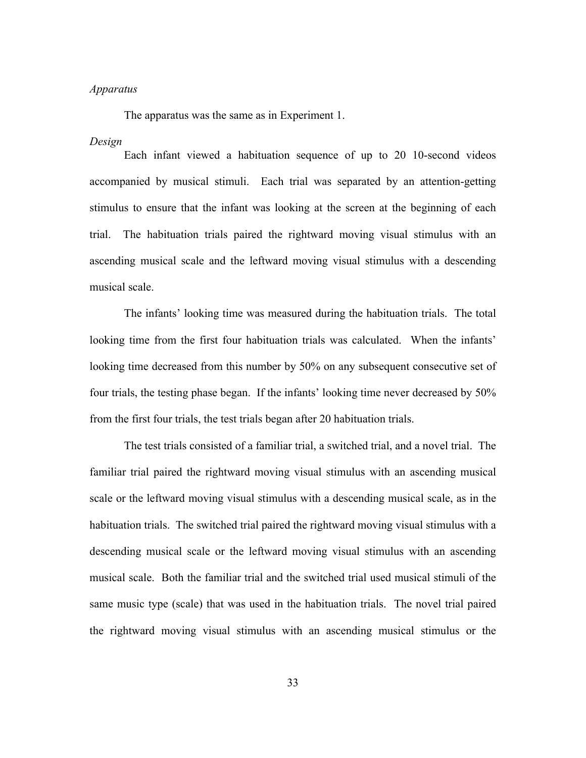## *Apparatus*

The apparatus was the same as in Experiment 1.

#### *Design*

Each infant viewed a habituation sequence of up to 20 10-second videos accompanied by musical stimuli. Each trial was separated by an attention-getting stimulus to ensure that the infant was looking at the screen at the beginning of each trial. The habituation trials paired the rightward moving visual stimulus with an ascending musical scale and the leftward moving visual stimulus with a descending musical scale.

The infants' looking time was measured during the habituation trials. The total looking time from the first four habituation trials was calculated. When the infants' looking time decreased from this number by 50% on any subsequent consecutive set of four trials, the testing phase began. If the infants' looking time never decreased by 50% from the first four trials, the test trials began after 20 habituation trials.

The test trials consisted of a familiar trial, a switched trial, and a novel trial. The familiar trial paired the rightward moving visual stimulus with an ascending musical scale or the leftward moving visual stimulus with a descending musical scale, as in the habituation trials. The switched trial paired the rightward moving visual stimulus with a descending musical scale or the leftward moving visual stimulus with an ascending musical scale. Both the familiar trial and the switched trial used musical stimuli of the same music type (scale) that was used in the habituation trials. The novel trial paired the rightward moving visual stimulus with an ascending musical stimulus or the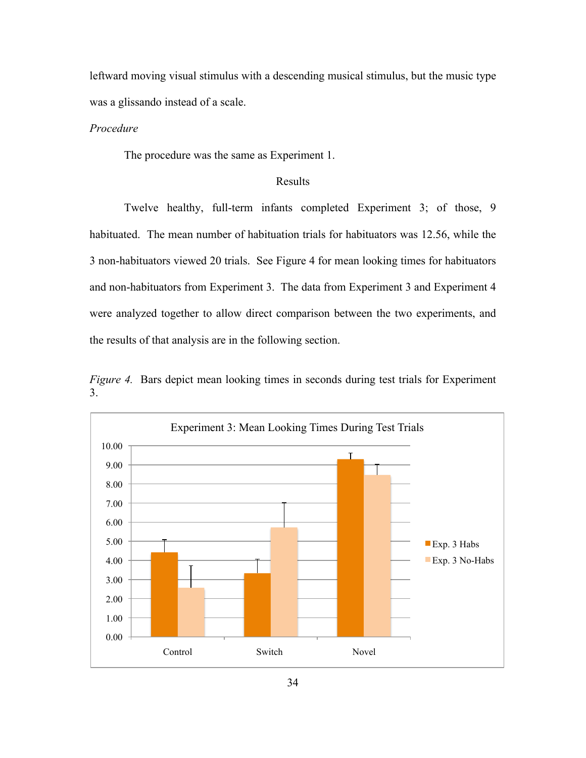leftward moving visual stimulus with a descending musical stimulus, but the music type was a glissando instead of a scale.

# *Procedure*

The procedure was the same as Experiment 1.

## Results

Twelve healthy, full-term infants completed Experiment 3; of those, 9 habituated. The mean number of habituation trials for habituators was 12.56, while the 3 non-habituators viewed 20 trials. See Figure 4 for mean looking times for habituators and non-habituators from Experiment 3. The data from Experiment 3 and Experiment 4 were analyzed together to allow direct comparison between the two experiments, and the results of that analysis are in the following section.

*Figure 4.* Bars depict mean looking times in seconds during test trials for Experiment 3.

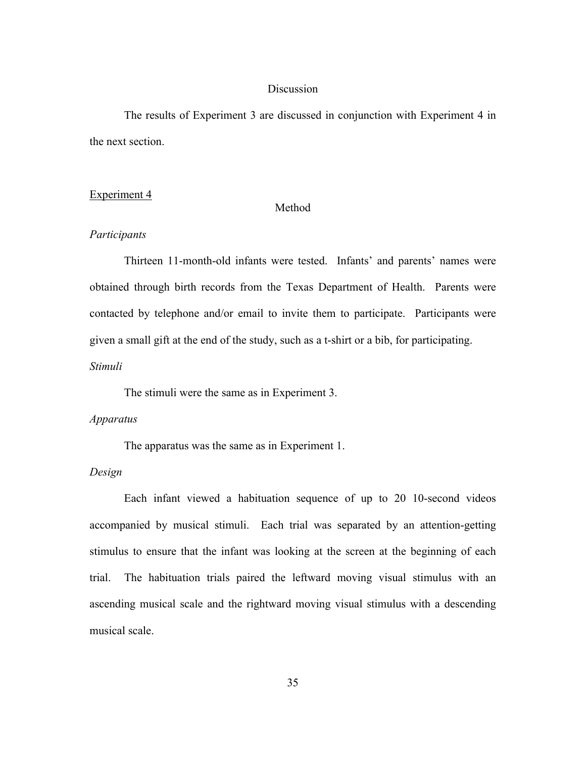## **Discussion**

The results of Experiment 3 are discussed in conjunction with Experiment 4 in the next section.

#### Experiment 4

## Method

#### *Participants*

Thirteen 11-month-old infants were tested. Infants' and parents' names were obtained through birth records from the Texas Department of Health. Parents were contacted by telephone and/or email to invite them to participate. Participants were given a small gift at the end of the study, such as a t-shirt or a bib, for participating.

## *Stimuli*

The stimuli were the same as in Experiment 3.

#### *Apparatus*

The apparatus was the same as in Experiment 1.

## *Design*

Each infant viewed a habituation sequence of up to 20 10-second videos accompanied by musical stimuli. Each trial was separated by an attention-getting stimulus to ensure that the infant was looking at the screen at the beginning of each trial. The habituation trials paired the leftward moving visual stimulus with an ascending musical scale and the rightward moving visual stimulus with a descending musical scale.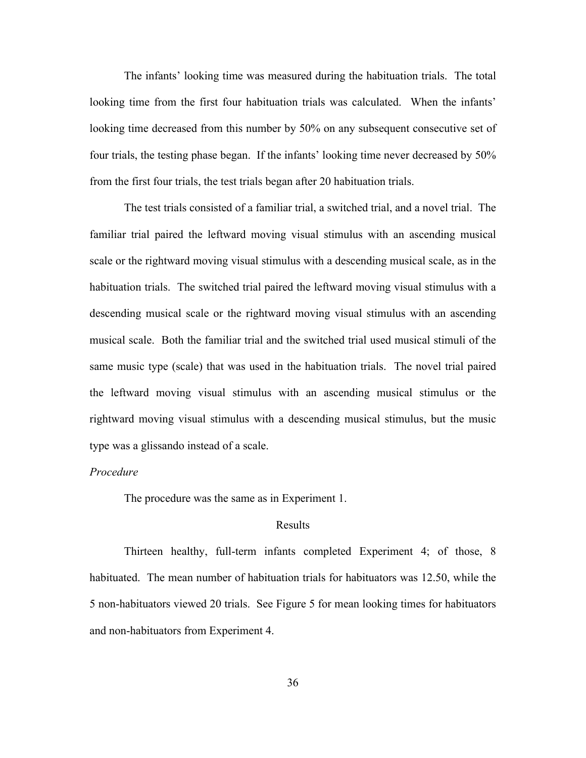The infants' looking time was measured during the habituation trials. The total looking time from the first four habituation trials was calculated. When the infants' looking time decreased from this number by 50% on any subsequent consecutive set of four trials, the testing phase began. If the infants' looking time never decreased by 50% from the first four trials, the test trials began after 20 habituation trials.

The test trials consisted of a familiar trial, a switched trial, and a novel trial. The familiar trial paired the leftward moving visual stimulus with an ascending musical scale or the rightward moving visual stimulus with a descending musical scale, as in the habituation trials. The switched trial paired the leftward moving visual stimulus with a descending musical scale or the rightward moving visual stimulus with an ascending musical scale. Both the familiar trial and the switched trial used musical stimuli of the same music type (scale) that was used in the habituation trials. The novel trial paired the leftward moving visual stimulus with an ascending musical stimulus or the rightward moving visual stimulus with a descending musical stimulus, but the music type was a glissando instead of a scale.

## *Procedure*

The procedure was the same as in Experiment 1.

#### Results

Thirteen healthy, full-term infants completed Experiment 4; of those, 8 habituated. The mean number of habituation trials for habituators was 12.50, while the 5 non-habituators viewed 20 trials. See Figure 5 for mean looking times for habituators and non-habituators from Experiment 4.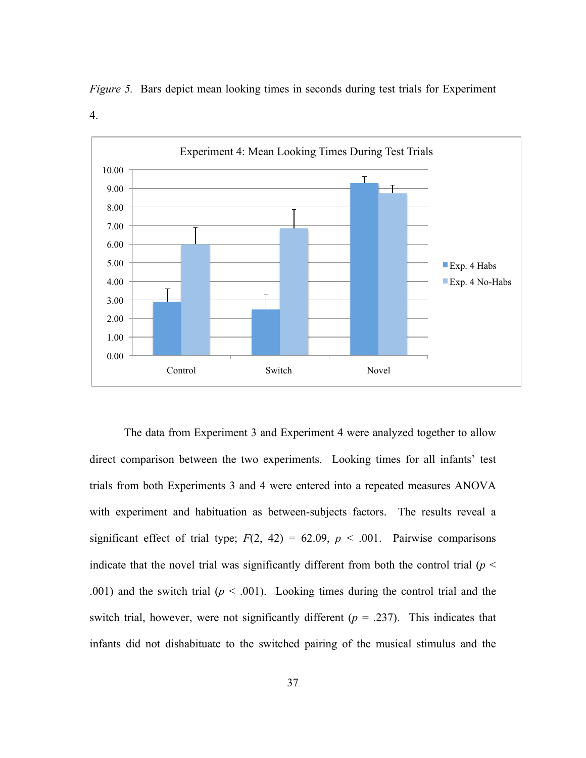

*Figure 5.* Bars depict mean looking times in seconds during test trials for Experiment

4.

The data from Experiment 3 and Experiment 4 were analyzed together to allow direct comparison between the two experiments. Looking times for all infants' test trials from both Experiments 3 and 4 were entered into a repeated measures ANOVA with experiment and habituation as between-subjects factors. The results reveal a significant effect of trial type;  $F(2, 42) = 62.09$ ,  $p < .001$ . Pairwise comparisons indicate that the novel trial was significantly different from both the control trial ( $p <$ .001) and the switch trial ( $p < .001$ ). Looking times during the control trial and the switch trial, however, were not significantly different  $(p = .237)$ . This indicates that infants did not dishabituate to the switched pairing of the musical stimulus and the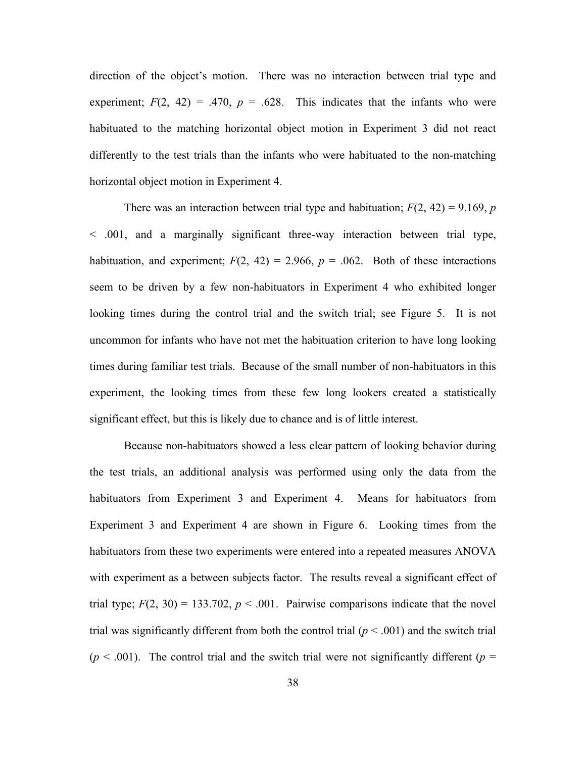direction of the object's motion. There was no interaction between trial type and experiment;  $F(2, 42) = .470$ ,  $p = .628$ . This indicates that the infants who were habituated to the matching horizontal object motion in Experiment 3 did not react differently to the test trials than the infants who were habituated to the non-matching horizontal object motion in Experiment 4.

There was an interaction between trial type and habituation;  $F(2, 42) = 9.169$ , *p* < .001, and a marginally significant three-way interaction between trial type, habituation, and experiment;  $F(2, 42) = 2.966$ ,  $p = .062$ . Both of these interactions seem to be driven by a few non-habituators in Experiment 4 who exhibited longer looking times during the control trial and the switch trial; see Figure 5. It is not uncommon for infants who have not met the habituation criterion to have long looking times during familiar test trials. Because of the small number of non-habituators in this experiment, the looking times from these few long lookers created a statistically significant effect, but this is likely due to chance and is of little interest.

Because non-habituators showed a less clear pattern of looking behavior during the test trials, an additional analysis was performed using only the data from the habituators from Experiment 3 and Experiment 4. Means for habituators from Experiment 3 and Experiment 4 are shown in Figure 6. Looking times from the habituators from these two experiments were entered into a repeated measures ANOVA with experiment as a between subjects factor. The results reveal a significant effect of trial type;  $F(2, 30) = 133.702$ ,  $p < .001$ . Pairwise comparisons indicate that the novel trial was significantly different from both the control trial  $(p < .001)$  and the switch trial  $(p < .001)$ . The control trial and the switch trial were not significantly different  $(p = .001)$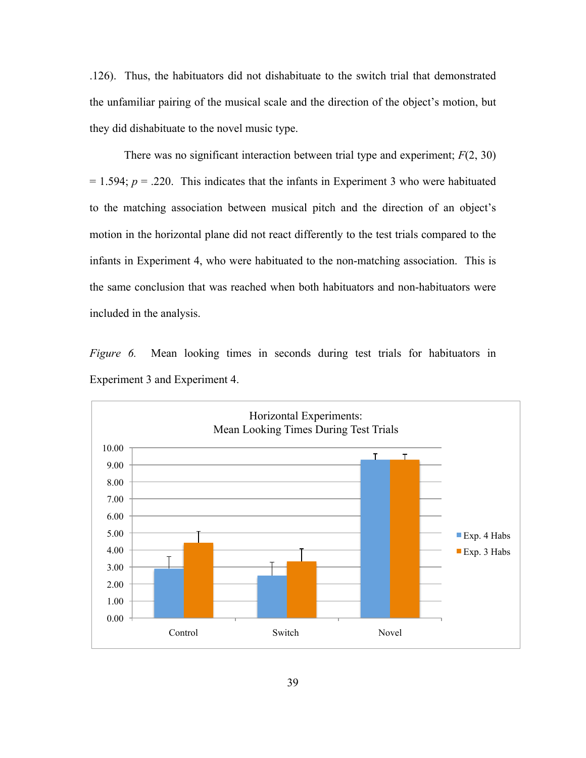.126). Thus, the habituators did not dishabituate to the switch trial that demonstrated the unfamiliar pairing of the musical scale and the direction of the object's motion, but they did dishabituate to the novel music type.

There was no significant interaction between trial type and experiment; *F*(2, 30)  $= 1.594$ ;  $p = .220$ . This indicates that the infants in Experiment 3 who were habituated to the matching association between musical pitch and the direction of an object's motion in the horizontal plane did not react differently to the test trials compared to the infants in Experiment 4, who were habituated to the non-matching association. This is the same conclusion that was reached when both habituators and non-habituators were included in the analysis.

*Figure 6.* Mean looking times in seconds during test trials for habituators in Experiment 3 and Experiment 4.

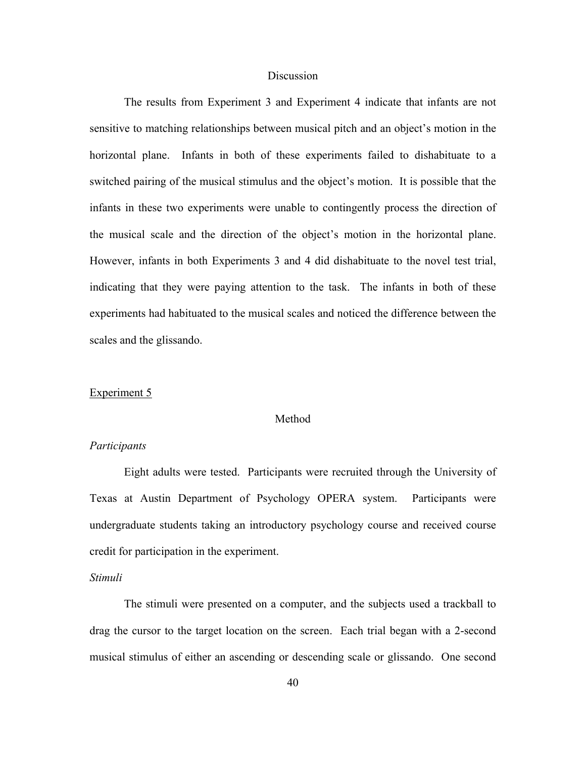## **Discussion**

The results from Experiment 3 and Experiment 4 indicate that infants are not sensitive to matching relationships between musical pitch and an object's motion in the horizontal plane. Infants in both of these experiments failed to dishabituate to a switched pairing of the musical stimulus and the object's motion. It is possible that the infants in these two experiments were unable to contingently process the direction of the musical scale and the direction of the object's motion in the horizontal plane. However, infants in both Experiments 3 and 4 did dishabituate to the novel test trial, indicating that they were paying attention to the task. The infants in both of these experiments had habituated to the musical scales and noticed the difference between the scales and the glissando.

#### Experiment 5

#### Method

## *Participants*

Eight adults were tested. Participants were recruited through the University of Texas at Austin Department of Psychology OPERA system. Participants were undergraduate students taking an introductory psychology course and received course credit for participation in the experiment.

## *Stimuli*

The stimuli were presented on a computer, and the subjects used a trackball to drag the cursor to the target location on the screen. Each trial began with a 2-second musical stimulus of either an ascending or descending scale or glissando. One second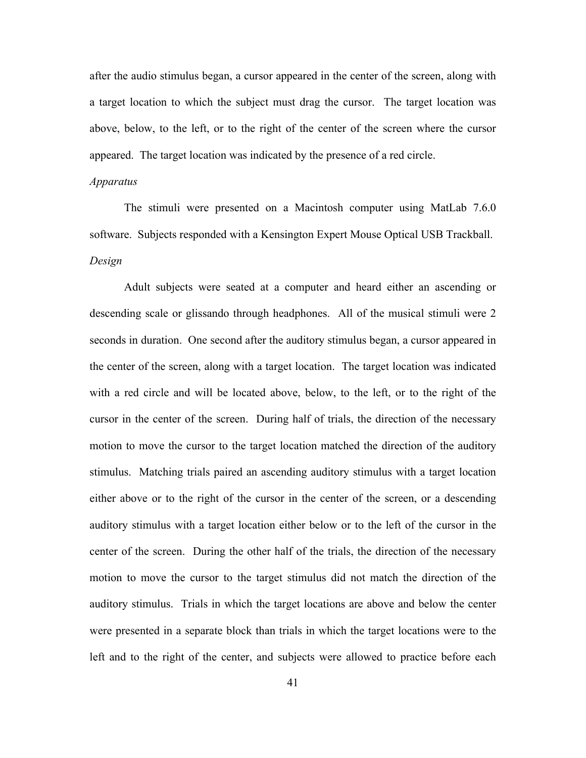after the audio stimulus began, a cursor appeared in the center of the screen, along with a target location to which the subject must drag the cursor. The target location was above, below, to the left, or to the right of the center of the screen where the cursor appeared. The target location was indicated by the presence of a red circle.

#### *Apparatus*

The stimuli were presented on a Macintosh computer using MatLab 7.6.0 software. Subjects responded with a Kensington Expert Mouse Optical USB Trackball. *Design*

Adult subjects were seated at a computer and heard either an ascending or descending scale or glissando through headphones. All of the musical stimuli were 2 seconds in duration. One second after the auditory stimulus began, a cursor appeared in the center of the screen, along with a target location. The target location was indicated with a red circle and will be located above, below, to the left, or to the right of the cursor in the center of the screen. During half of trials, the direction of the necessary motion to move the cursor to the target location matched the direction of the auditory stimulus. Matching trials paired an ascending auditory stimulus with a target location either above or to the right of the cursor in the center of the screen, or a descending auditory stimulus with a target location either below or to the left of the cursor in the center of the screen. During the other half of the trials, the direction of the necessary motion to move the cursor to the target stimulus did not match the direction of the auditory stimulus. Trials in which the target locations are above and below the center were presented in a separate block than trials in which the target locations were to the left and to the right of the center, and subjects were allowed to practice before each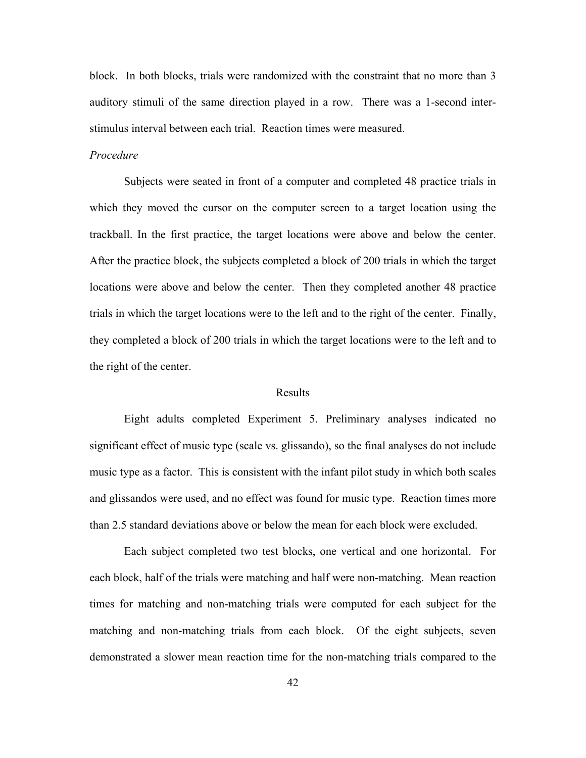block. In both blocks, trials were randomized with the constraint that no more than 3 auditory stimuli of the same direction played in a row. There was a 1-second interstimulus interval between each trial. Reaction times were measured.

## *Procedure*

Subjects were seated in front of a computer and completed 48 practice trials in which they moved the cursor on the computer screen to a target location using the trackball. In the first practice, the target locations were above and below the center. After the practice block, the subjects completed a block of 200 trials in which the target locations were above and below the center. Then they completed another 48 practice trials in which the target locations were to the left and to the right of the center. Finally, they completed a block of 200 trials in which the target locations were to the left and to the right of the center.

## Results

Eight adults completed Experiment 5. Preliminary analyses indicated no significant effect of music type (scale vs. glissando), so the final analyses do not include music type as a factor. This is consistent with the infant pilot study in which both scales and glissandos were used, and no effect was found for music type. Reaction times more than 2.5 standard deviations above or below the mean for each block were excluded.

Each subject completed two test blocks, one vertical and one horizontal. For each block, half of the trials were matching and half were non-matching. Mean reaction times for matching and non-matching trials were computed for each subject for the matching and non-matching trials from each block. Of the eight subjects, seven demonstrated a slower mean reaction time for the non-matching trials compared to the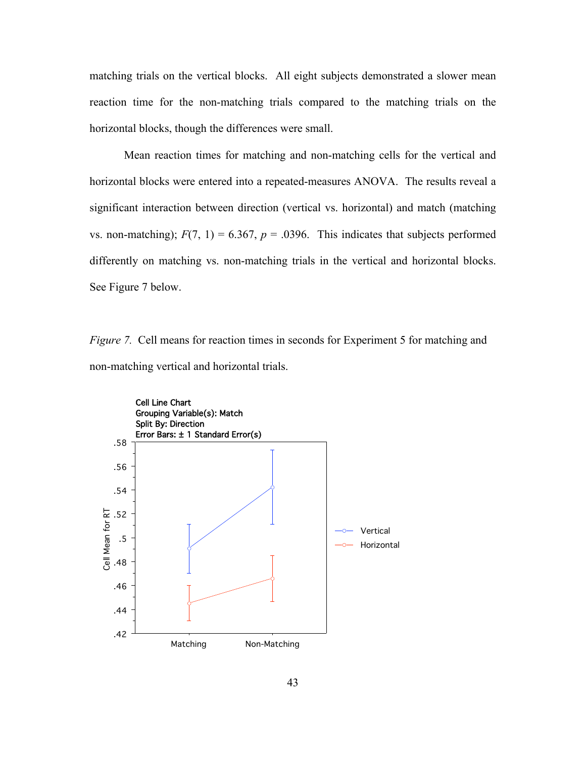matching trials on the vertical blocks. All eight subjects demonstrated a slower mean reaction time for the non-matching trials compared to the matching trials on the horizontal blocks, though the differences were small.

Mean reaction times for matching and non-matching cells for the vertical and horizontal blocks were entered into a repeated-measures ANOVA. The results reveal a significant interaction between direction (vertical vs. horizontal) and match (matching vs. non-matching);  $F(7, 1) = 6.367$ ,  $p = .0396$ . This indicates that subjects performed differently on matching vs. non-matching trials in the vertical and horizontal blocks. See Figure 7 below.

*Figure 7.* Cell means for reaction times in seconds for Experiment 5 for matching and non-matching vertical and horizontal trials.

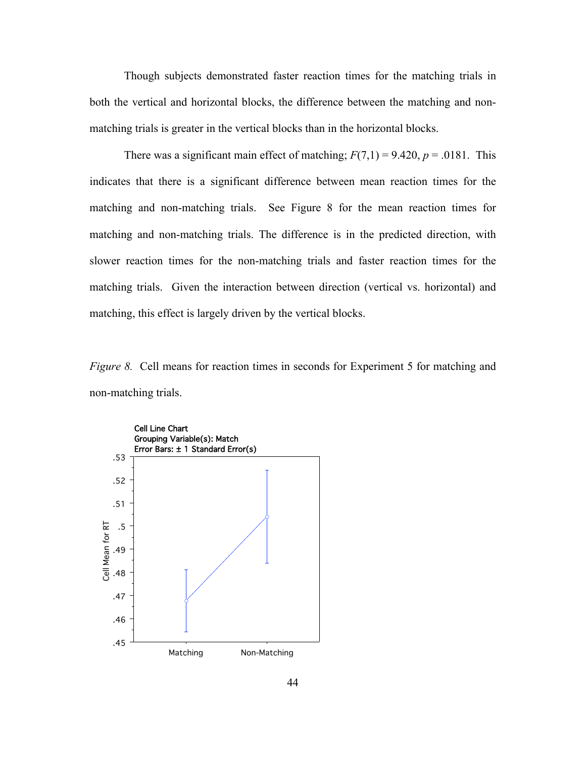Though subjects demonstrated faster reaction times for the matching trials in both the vertical and horizontal blocks, the difference between the matching and nonmatching trials is greater in the vertical blocks than in the horizontal blocks.

There was a significant main effect of matching;  $F(7,1) = 9.420$ ,  $p = .0181$ . This indicates that there is a significant difference between mean reaction times for the matching and non-matching trials. See Figure 8 for the mean reaction times for matching and non-matching trials. The difference is in the predicted direction, with slower reaction times for the non-matching trials and faster reaction times for the matching trials. Given the interaction between direction (vertical vs. horizontal) and matching, this effect is largely driven by the vertical blocks.

*Figure 8.* Cell means for reaction times in seconds for Experiment 5 for matching and non-matching trials.

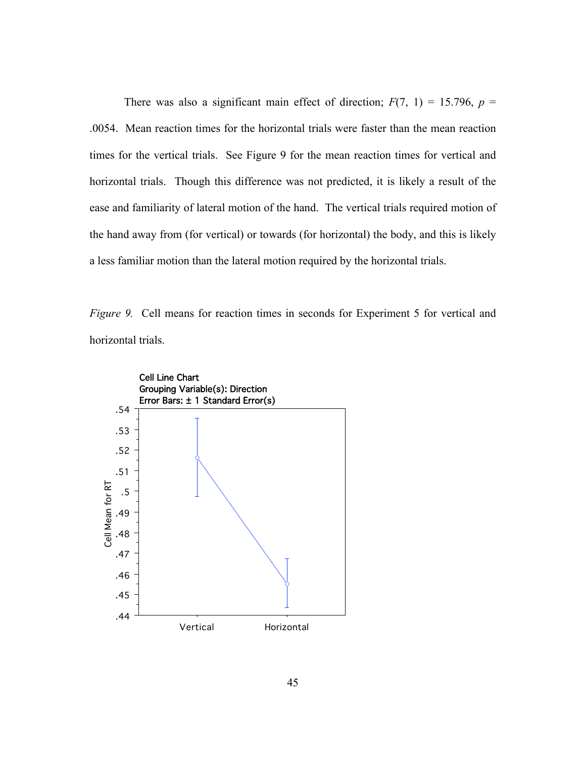There was also a significant main effect of direction;  $F(7, 1) = 15.796$ ,  $p =$ .0054. Mean reaction times for the horizontal trials were faster than the mean reaction times for the vertical trials. See Figure 9 for the mean reaction times for vertical and horizontal trials. Though this difference was not predicted, it is likely a result of the ease and familiarity of lateral motion of the hand. The vertical trials required motion of the hand away from (for vertical) or towards (for horizontal) the body, and this is likely a less familiar motion than the lateral motion required by the horizontal trials.

*Figure 9.* Cell means for reaction times in seconds for Experiment 5 for vertical and horizontal trials.

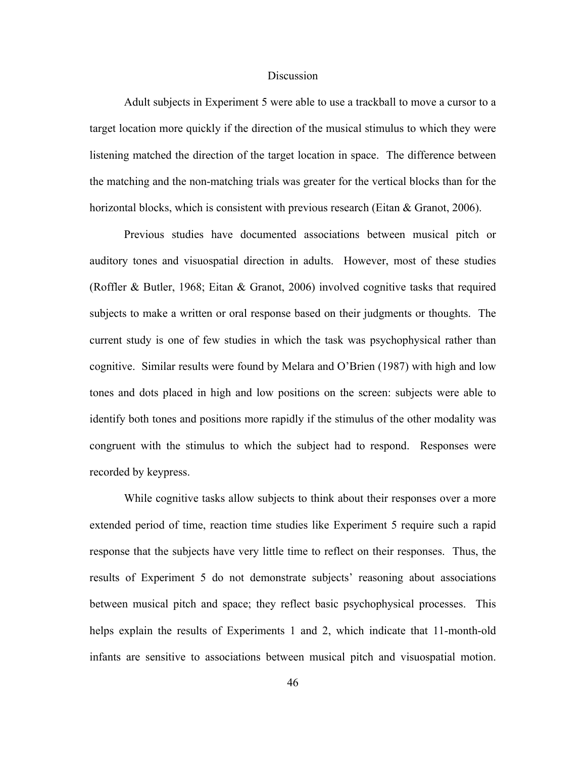#### Discussion

Adult subjects in Experiment 5 were able to use a trackball to move a cursor to a target location more quickly if the direction of the musical stimulus to which they were listening matched the direction of the target location in space. The difference between the matching and the non-matching trials was greater for the vertical blocks than for the horizontal blocks, which is consistent with previous research (Eitan & Granot, 2006).

Previous studies have documented associations between musical pitch or auditory tones and visuospatial direction in adults. However, most of these studies (Roffler & Butler, 1968; Eitan & Granot, 2006) involved cognitive tasks that required subjects to make a written or oral response based on their judgments or thoughts. The current study is one of few studies in which the task was psychophysical rather than cognitive. Similar results were found by Melara and O'Brien (1987) with high and low tones and dots placed in high and low positions on the screen: subjects were able to identify both tones and positions more rapidly if the stimulus of the other modality was congruent with the stimulus to which the subject had to respond. Responses were recorded by keypress.

While cognitive tasks allow subjects to think about their responses over a more extended period of time, reaction time studies like Experiment 5 require such a rapid response that the subjects have very little time to reflect on their responses. Thus, the results of Experiment 5 do not demonstrate subjects' reasoning about associations between musical pitch and space; they reflect basic psychophysical processes. This helps explain the results of Experiments 1 and 2, which indicate that 11-month-old infants are sensitive to associations between musical pitch and visuospatial motion.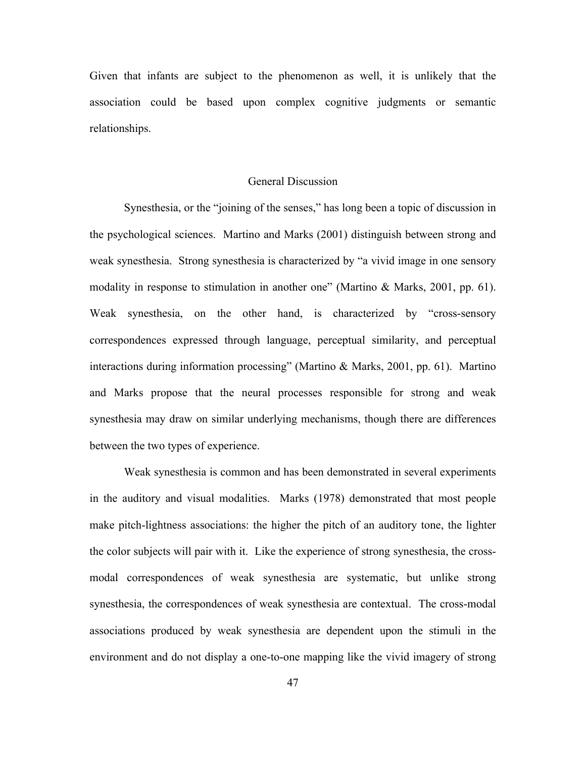Given that infants are subject to the phenomenon as well, it is unlikely that the association could be based upon complex cognitive judgments or semantic relationships.

## General Discussion

Synesthesia, or the "joining of the senses," has long been a topic of discussion in the psychological sciences. Martino and Marks (2001) distinguish between strong and weak synesthesia. Strong synesthesia is characterized by "a vivid image in one sensory modality in response to stimulation in another one" (Martino & Marks, 2001, pp. 61). Weak synesthesia, on the other hand, is characterized by "cross-sensory correspondences expressed through language, perceptual similarity, and perceptual interactions during information processing" (Martino & Marks, 2001, pp. 61). Martino and Marks propose that the neural processes responsible for strong and weak synesthesia may draw on similar underlying mechanisms, though there are differences between the two types of experience.

Weak synesthesia is common and has been demonstrated in several experiments in the auditory and visual modalities. Marks (1978) demonstrated that most people make pitch-lightness associations: the higher the pitch of an auditory tone, the lighter the color subjects will pair with it. Like the experience of strong synesthesia, the crossmodal correspondences of weak synesthesia are systematic, but unlike strong synesthesia, the correspondences of weak synesthesia are contextual. The cross-modal associations produced by weak synesthesia are dependent upon the stimuli in the environment and do not display a one-to-one mapping like the vivid imagery of strong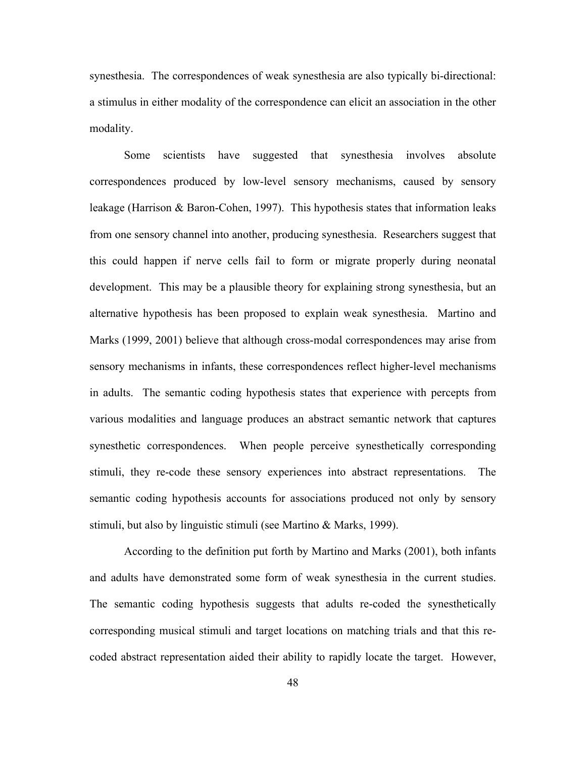synesthesia. The correspondences of weak synesthesia are also typically bi-directional: a stimulus in either modality of the correspondence can elicit an association in the other modality.

Some scientists have suggested that synesthesia involves absolute correspondences produced by low-level sensory mechanisms, caused by sensory leakage (Harrison & Baron-Cohen, 1997). This hypothesis states that information leaks from one sensory channel into another, producing synesthesia. Researchers suggest that this could happen if nerve cells fail to form or migrate properly during neonatal development. This may be a plausible theory for explaining strong synesthesia, but an alternative hypothesis has been proposed to explain weak synesthesia. Martino and Marks (1999, 2001) believe that although cross-modal correspondences may arise from sensory mechanisms in infants, these correspondences reflect higher-level mechanisms in adults. The semantic coding hypothesis states that experience with percepts from various modalities and language produces an abstract semantic network that captures synesthetic correspondences. When people perceive synesthetically corresponding stimuli, they re-code these sensory experiences into abstract representations. The semantic coding hypothesis accounts for associations produced not only by sensory stimuli, but also by linguistic stimuli (see Martino & Marks, 1999).

According to the definition put forth by Martino and Marks (2001), both infants and adults have demonstrated some form of weak synesthesia in the current studies. The semantic coding hypothesis suggests that adults re-coded the synesthetically corresponding musical stimuli and target locations on matching trials and that this recoded abstract representation aided their ability to rapidly locate the target. However,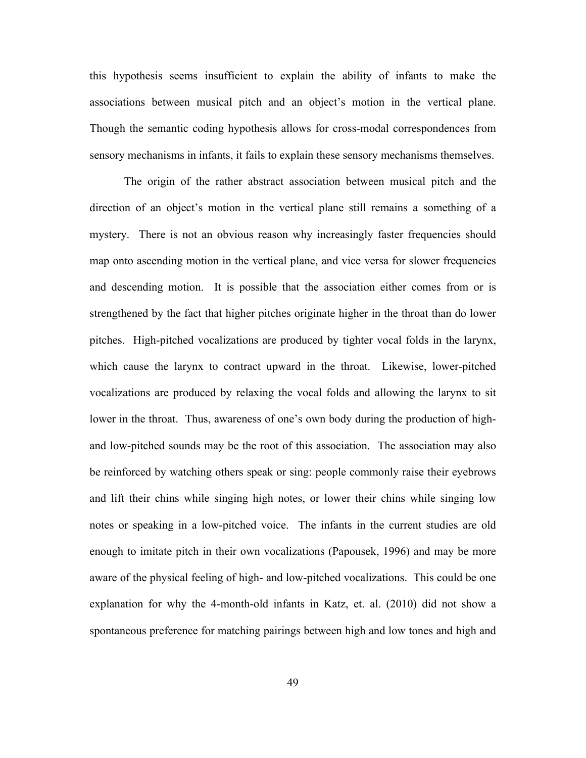this hypothesis seems insufficient to explain the ability of infants to make the associations between musical pitch and an object's motion in the vertical plane. Though the semantic coding hypothesis allows for cross-modal correspondences from sensory mechanisms in infants, it fails to explain these sensory mechanisms themselves.

The origin of the rather abstract association between musical pitch and the direction of an object's motion in the vertical plane still remains a something of a mystery. There is not an obvious reason why increasingly faster frequencies should map onto ascending motion in the vertical plane, and vice versa for slower frequencies and descending motion. It is possible that the association either comes from or is strengthened by the fact that higher pitches originate higher in the throat than do lower pitches. High-pitched vocalizations are produced by tighter vocal folds in the larynx, which cause the larynx to contract upward in the throat. Likewise, lower-pitched vocalizations are produced by relaxing the vocal folds and allowing the larynx to sit lower in the throat. Thus, awareness of one's own body during the production of highand low-pitched sounds may be the root of this association. The association may also be reinforced by watching others speak or sing: people commonly raise their eyebrows and lift their chins while singing high notes, or lower their chins while singing low notes or speaking in a low-pitched voice. The infants in the current studies are old enough to imitate pitch in their own vocalizations (Papousek, 1996) and may be more aware of the physical feeling of high- and low-pitched vocalizations. This could be one explanation for why the 4-month-old infants in Katz, et. al. (2010) did not show a spontaneous preference for matching pairings between high and low tones and high and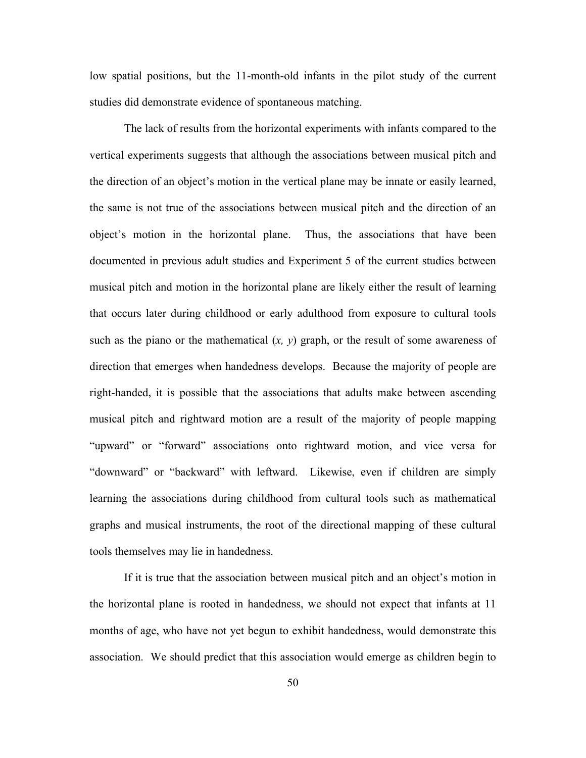low spatial positions, but the 11-month-old infants in the pilot study of the current studies did demonstrate evidence of spontaneous matching.

The lack of results from the horizontal experiments with infants compared to the vertical experiments suggests that although the associations between musical pitch and the direction of an object's motion in the vertical plane may be innate or easily learned, the same is not true of the associations between musical pitch and the direction of an object's motion in the horizontal plane. Thus, the associations that have been documented in previous adult studies and Experiment 5 of the current studies between musical pitch and motion in the horizontal plane are likely either the result of learning that occurs later during childhood or early adulthood from exposure to cultural tools such as the piano or the mathematical  $(x, y)$  graph, or the result of some awareness of direction that emerges when handedness develops. Because the majority of people are right-handed, it is possible that the associations that adults make between ascending musical pitch and rightward motion are a result of the majority of people mapping "upward" or "forward" associations onto rightward motion, and vice versa for "downward" or "backward" with leftward. Likewise, even if children are simply learning the associations during childhood from cultural tools such as mathematical graphs and musical instruments, the root of the directional mapping of these cultural tools themselves may lie in handedness.

If it is true that the association between musical pitch and an object's motion in the horizontal plane is rooted in handedness, we should not expect that infants at 11 months of age, who have not yet begun to exhibit handedness, would demonstrate this association. We should predict that this association would emerge as children begin to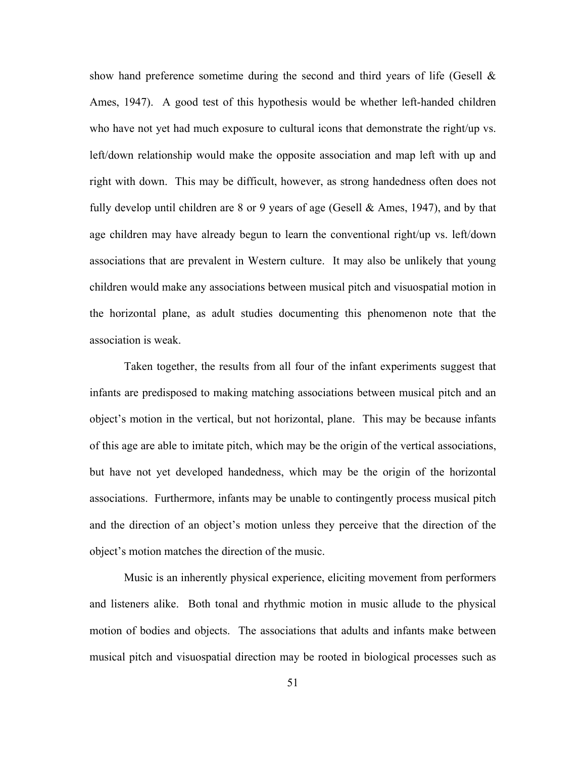show hand preference sometime during the second and third years of life (Gesell & Ames, 1947). A good test of this hypothesis would be whether left-handed children who have not yet had much exposure to cultural icons that demonstrate the right/up vs. left/down relationship would make the opposite association and map left with up and right with down. This may be difficult, however, as strong handedness often does not fully develop until children are 8 or 9 years of age (Gesell  $&$  Ames, 1947), and by that age children may have already begun to learn the conventional right/up vs. left/down associations that are prevalent in Western culture. It may also be unlikely that young children would make any associations between musical pitch and visuospatial motion in the horizontal plane, as adult studies documenting this phenomenon note that the association is weak.

Taken together, the results from all four of the infant experiments suggest that infants are predisposed to making matching associations between musical pitch and an object's motion in the vertical, but not horizontal, plane. This may be because infants of this age are able to imitate pitch, which may be the origin of the vertical associations, but have not yet developed handedness, which may be the origin of the horizontal associations. Furthermore, infants may be unable to contingently process musical pitch and the direction of an object's motion unless they perceive that the direction of the object's motion matches the direction of the music.

Music is an inherently physical experience, eliciting movement from performers and listeners alike. Both tonal and rhythmic motion in music allude to the physical motion of bodies and objects. The associations that adults and infants make between musical pitch and visuospatial direction may be rooted in biological processes such as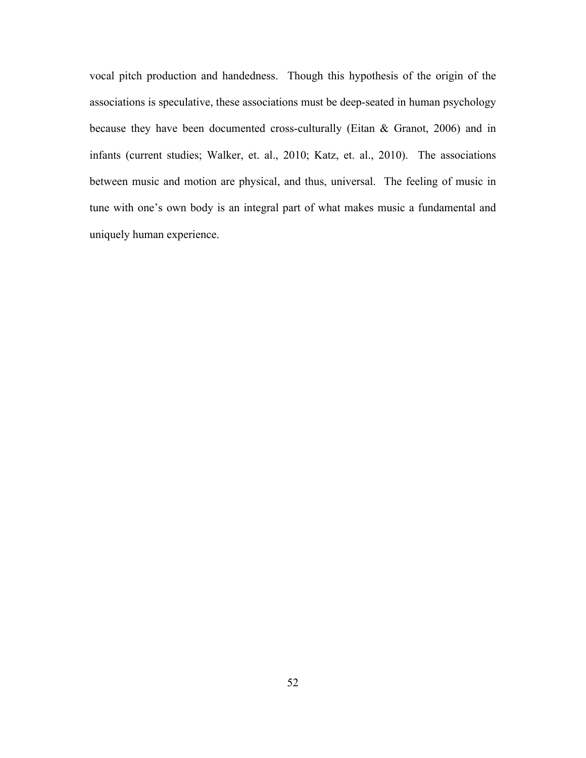vocal pitch production and handedness. Though this hypothesis of the origin of the associations is speculative, these associations must be deep-seated in human psychology because they have been documented cross-culturally (Eitan & Granot, 2006) and in infants (current studies; Walker, et. al., 2010; Katz, et. al., 2010). The associations between music and motion are physical, and thus, universal. The feeling of music in tune with one's own body is an integral part of what makes music a fundamental and uniquely human experience.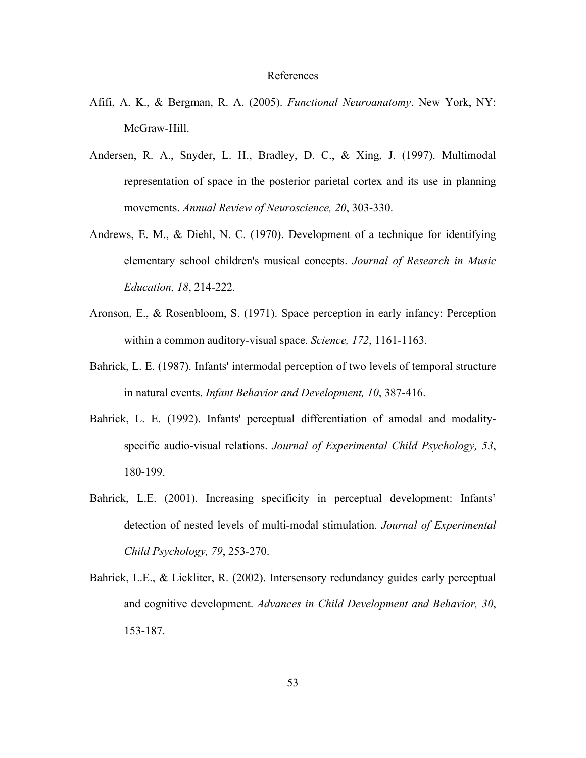#### References

- Afifi, A. K., & Bergman, R. A. (2005). *Functional Neuroanatomy*. New York, NY: McGraw-Hill.
- Andersen, R. A., Snyder, L. H., Bradley, D. C., & Xing, J. (1997). Multimodal representation of space in the posterior parietal cortex and its use in planning movements. *Annual Review of Neuroscience, 20*, 303-330.
- Andrews, E. M., & Diehl, N. C. (1970). Development of a technique for identifying elementary school children's musical concepts. *Journal of Research in Music Education, 18*, 214-222.
- Aronson, E., & Rosenbloom, S. (1971). Space perception in early infancy: Perception within a common auditory-visual space. *Science, 172*, 1161-1163.
- Bahrick, L. E. (1987). Infants' intermodal perception of two levels of temporal structure in natural events. *Infant Behavior and Development, 10*, 387-416.
- Bahrick, L. E. (1992). Infants' perceptual differentiation of amodal and modalityspecific audio-visual relations. *Journal of Experimental Child Psychology, 53*, 180-199.
- Bahrick, L.E. (2001). Increasing specificity in perceptual development: Infants' detection of nested levels of multi-modal stimulation. *Journal of Experimental Child Psychology, 79*, 253-270.
- Bahrick, L.E., & Lickliter, R. (2002). Intersensory redundancy guides early perceptual and cognitive development. *Advances in Child Development and Behavior, 30*, 153-187.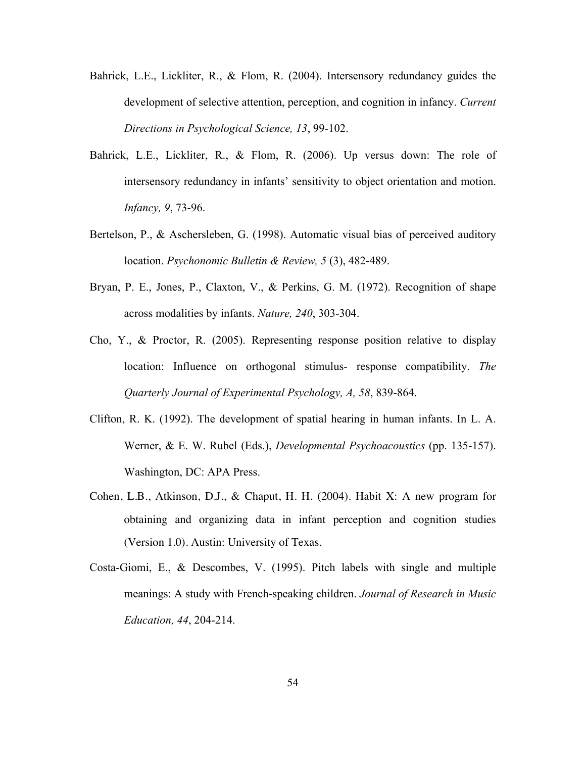- Bahrick, L.E., Lickliter, R., & Flom, R. (2004). Intersensory redundancy guides the development of selective attention, perception, and cognition in infancy. *Current Directions in Psychological Science, 13*, 99-102.
- Bahrick, L.E., Lickliter, R., & Flom, R. (2006). Up versus down: The role of intersensory redundancy in infants' sensitivity to object orientation and motion. *Infancy, 9*, 73-96.
- Bertelson, P., & Aschersleben, G. (1998). Automatic visual bias of perceived auditory location. *Psychonomic Bulletin & Review, 5* (3), 482-489.
- Bryan, P. E., Jones, P., Claxton, V., & Perkins, G. M. (1972). Recognition of shape across modalities by infants. *Nature, 240*, 303-304.
- Cho, Y., & Proctor, R. (2005). Representing response position relative to display location: Influence on orthogonal stimulus- response compatibility. *The Quarterly Journal of Experimental Psychology, A, 58*, 839-864.
- Clifton, R. K. (1992). The development of spatial hearing in human infants. In L. A. Werner, & E. W. Rubel (Eds.), *Developmental Psychoacoustics* (pp. 135-157). Washington, DC: APA Press.
- Cohen, L.B., Atkinson, D.J., & Chaput, H. H. (2004). Habit X: A new program for obtaining and organizing data in infant perception and cognition studies (Version 1.0). Austin: University of Texas.
- Costa-Giomi, E., & Descombes, V. (1995). Pitch labels with single and multiple meanings: A study with French-speaking children. *Journal of Research in Music Education, 44*, 204-214.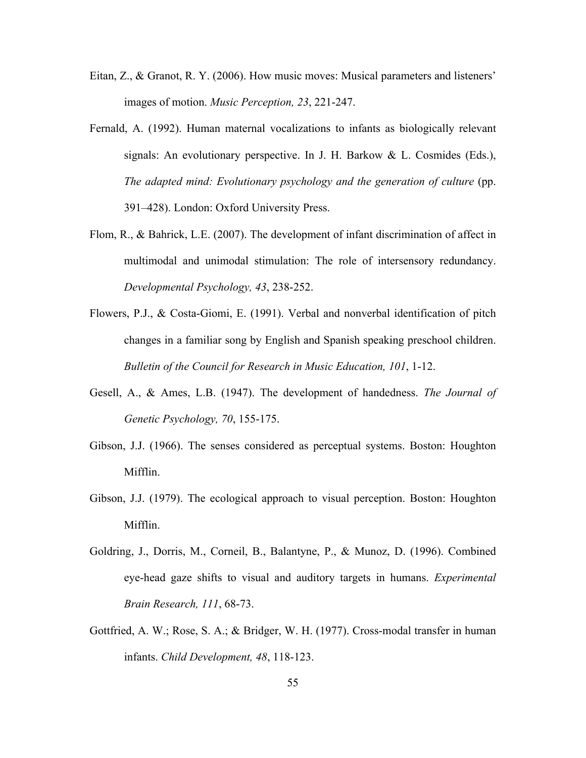- Eitan, Z., & Granot, R. Y. (2006). How music moves: Musical parameters and listeners' images of motion. *Music Perception, 23*, 221-247.
- Fernald, A. (1992). Human maternal vocalizations to infants as biologically relevant signals: An evolutionary perspective. In J. H. Barkow & L. Cosmides (Eds.), *The adapted mind: Evolutionary psychology and the generation of culture* (pp. 391–428). London: Oxford University Press.
- Flom, R., & Bahrick, L.E. (2007). The development of infant discrimination of affect in multimodal and unimodal stimulation: The role of intersensory redundancy. *Developmental Psychology, 43*, 238-252.
- Flowers, P.J., & Costa-Giomi, E. (1991). Verbal and nonverbal identification of pitch changes in a familiar song by English and Spanish speaking preschool children. *Bulletin of the Council for Research in Music Education, 101*, 1-12.
- Gesell, A., & Ames, L.B. (1947). The development of handedness. *The Journal of Genetic Psychology, 70*, 155-175.
- Gibson, J.J. (1966). The senses considered as perceptual systems. Boston: Houghton Mifflin.
- Gibson, J.J. (1979). The ecological approach to visual perception. Boston: Houghton Mifflin.
- Goldring, J., Dorris, M., Corneil, B., Balantyne, P., & Munoz, D. (1996). Combined eye-head gaze shifts to visual and auditory targets in humans. *Experimental Brain Research, 111*, 68-73.
- Gottfried, A. W.; Rose, S. A.; & Bridger, W. H. (1977). Cross-modal transfer in human infants. *Child Development, 48*, 118-123.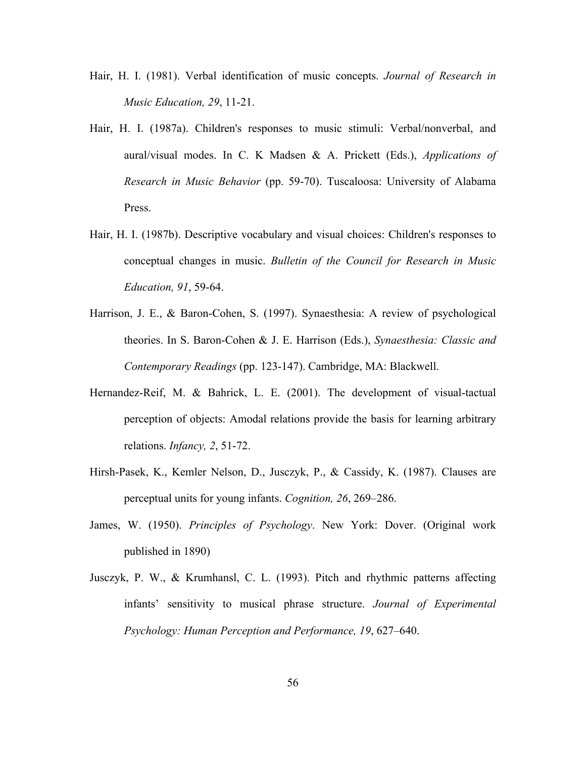- Hair, H. I. (1981). Verbal identification of music concepts. *Journal of Research in Music Education, 29*, 11-21.
- Hair, H. I. (1987a). Children's responses to music stimuli: Verbal/nonverbal, and aural/visual modes. In C. K Madsen & A. Prickett (Eds.), *Applications of Research in Music Behavior* (pp. 59-70). Tuscaloosa: University of Alabama Press.
- Hair, H. I. (1987b). Descriptive vocabulary and visual choices: Children's responses to conceptual changes in music. *Bulletin of the Council for Research in Music Education, 91*, 59-64.
- Harrison, J. E., & Baron-Cohen, S. (1997). Synaesthesia: A review of psychological theories. In S. Baron-Cohen & J. E. Harrison (Eds.), *Synaesthesia: Classic and Contemporary Readings* (pp. 123-147). Cambridge, MA: Blackwell.
- Hernandez-Reif, M. & Bahrick, L. E. (2001). The development of visual-tactual perception of objects: Amodal relations provide the basis for learning arbitrary relations. *Infancy, 2*, 51-72.
- Hirsh-Pasek, K., Kemler Nelson, D., Jusczyk, P., & Cassidy, K. (1987). Clauses are perceptual units for young infants. *Cognition, 26*, 269–286.
- James, W. (1950). *Principles of Psychology*. New York: Dover. (Original work published in 1890)
- Jusczyk, P. W., & Krumhansl, C. L. (1993). Pitch and rhythmic patterns affecting infants' sensitivity to musical phrase structure. *Journal of Experimental Psychology: Human Perception and Performance, 19*, 627–640.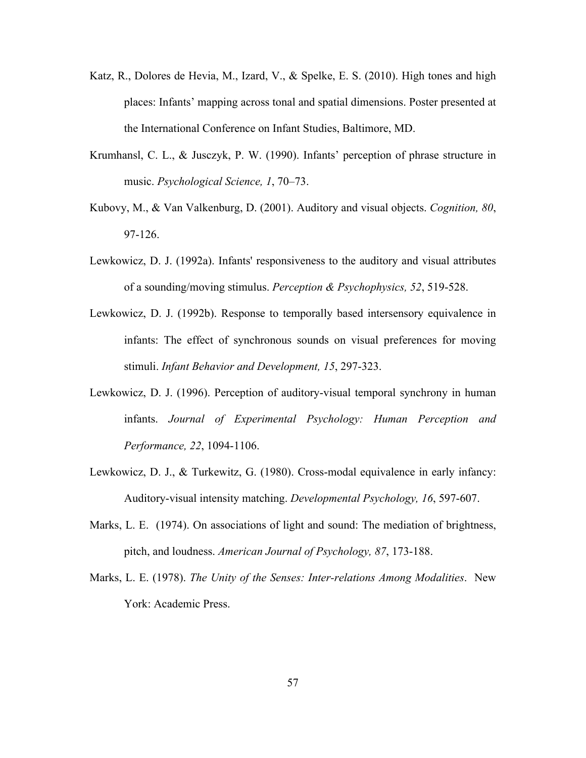- Katz, R., Dolores de Hevia, M., Izard, V., & Spelke, E. S. (2010). High tones and high places: Infants' mapping across tonal and spatial dimensions. Poster presented at the International Conference on Infant Studies, Baltimore, MD.
- Krumhansl, C. L., & Jusczyk, P. W. (1990). Infants' perception of phrase structure in music. *Psychological Science, 1*, 70–73.
- Kubovy, M., & Van Valkenburg, D. (2001). Auditory and visual objects. *Cognition, 80*, 97-126.
- Lewkowicz, D. J. (1992a). Infants' responsiveness to the auditory and visual attributes of a sounding/moving stimulus. *Perception & Psychophysics, 52*, 519-528.
- Lewkowicz, D. J. (1992b). Response to temporally based intersensory equivalence in infants: The effect of synchronous sounds on visual preferences for moving stimuli. *Infant Behavior and Development, 15*, 297-323.
- Lewkowicz, D. J. (1996). Perception of auditory-visual temporal synchrony in human infants. *Journal of Experimental Psychology: Human Perception and Performance, 22*, 1094-1106.
- Lewkowicz, D. J., & Turkewitz, G. (1980). Cross-modal equivalence in early infancy: Auditory-visual intensity matching. *Developmental Psychology, 16*, 597-607.
- Marks, L. E. (1974). On associations of light and sound: The mediation of brightness, pitch, and loudness. *American Journal of Psychology, 87*, 173-188.
- Marks, L. E. (1978). *The Unity of the Senses: Inter-relations Among Modalities*. New York: Academic Press.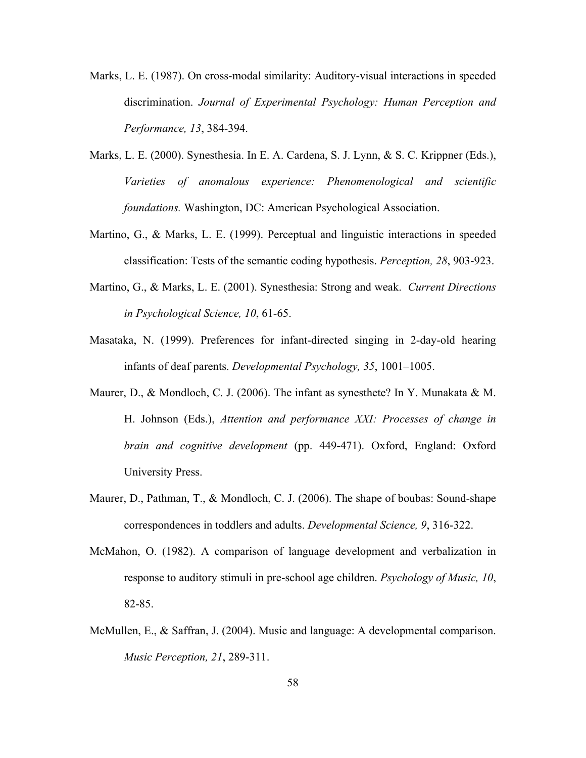- Marks, L. E. (1987). On cross-modal similarity: Auditory-visual interactions in speeded discrimination. *Journal of Experimental Psychology: Human Perception and Performance, 13*, 384-394.
- Marks, L. E. (2000). Synesthesia. In E. A. Cardena, S. J. Lynn, & S. C. Krippner (Eds.), *Varieties of anomalous experience: Phenomenological and scientific foundations.* Washington, DC: American Psychological Association.
- Martino, G., & Marks, L. E. (1999). Perceptual and linguistic interactions in speeded classification: Tests of the semantic coding hypothesis. *Perception, 28*, 903-923.
- Martino, G., & Marks, L. E. (2001). Synesthesia: Strong and weak. *Current Directions in Psychological Science, 10*, 61-65.
- Masataka, N. (1999). Preferences for infant-directed singing in 2-day-old hearing infants of deaf parents. *Developmental Psychology, 35*, 1001–1005.
- Maurer, D., & Mondloch, C. J. (2006). The infant as synesthete? In Y. Munakata & M. H. Johnson (Eds.), *Attention and performance XXI: Processes of change in brain and cognitive development* (pp. 449-471). Oxford, England: Oxford University Press.
- Maurer, D., Pathman, T., & Mondloch, C. J. (2006). The shape of boubas: Sound-shape correspondences in toddlers and adults. *Developmental Science, 9*, 316-322.
- McMahon, O. (1982). A comparison of language development and verbalization in response to auditory stimuli in pre-school age children. *Psychology of Music, 10*, 82-85.
- McMullen, E., & Saffran, J. (2004). Music and language: A developmental comparison. *Music Perception, 21*, 289-311.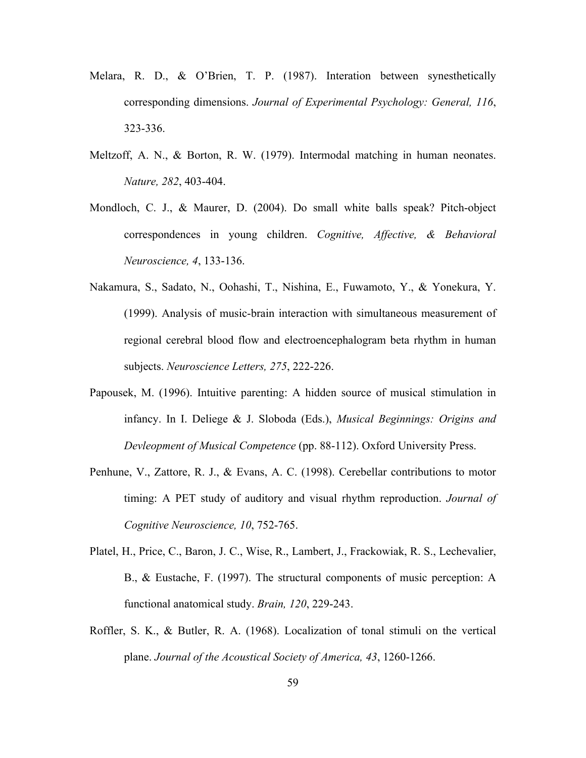- Melara, R. D., & O'Brien, T. P. (1987). Interation between synesthetically corresponding dimensions. *Journal of Experimental Psychology: General, 116*, 323-336.
- Meltzoff, A. N., & Borton, R. W. (1979). Intermodal matching in human neonates. *Nature, 282*, 403-404.
- Mondloch, C. J., & Maurer, D. (2004). Do small white balls speak? Pitch-object correspondences in young children. *Cognitive, Affective, & Behavioral Neuroscience, 4*, 133-136.
- Nakamura, S., Sadato, N., Oohashi, T., Nishina, E., Fuwamoto, Y., & Yonekura, Y. (1999). Analysis of music-brain interaction with simultaneous measurement of regional cerebral blood flow and electroencephalogram beta rhythm in human subjects. *Neuroscience Letters, 275*, 222-226.
- Papousek, M. (1996). Intuitive parenting: A hidden source of musical stimulation in infancy. In I. Deliege & J. Sloboda (Eds.), *Musical Beginnings: Origins and Devleopment of Musical Competence* (pp. 88-112). Oxford University Press.
- Penhune, V., Zattore, R. J., & Evans, A. C. (1998). Cerebellar contributions to motor timing: A PET study of auditory and visual rhythm reproduction. *Journal of Cognitive Neuroscience, 10*, 752-765.
- Platel, H., Price, C., Baron, J. C., Wise, R., Lambert, J., Frackowiak, R. S., Lechevalier, B., & Eustache, F. (1997). The structural components of music perception: A functional anatomical study. *Brain, 120*, 229-243.
- Roffler, S. K., & Butler, R. A. (1968). Localization of tonal stimuli on the vertical plane. *Journal of the Acoustical Society of America, 43*, 1260-1266.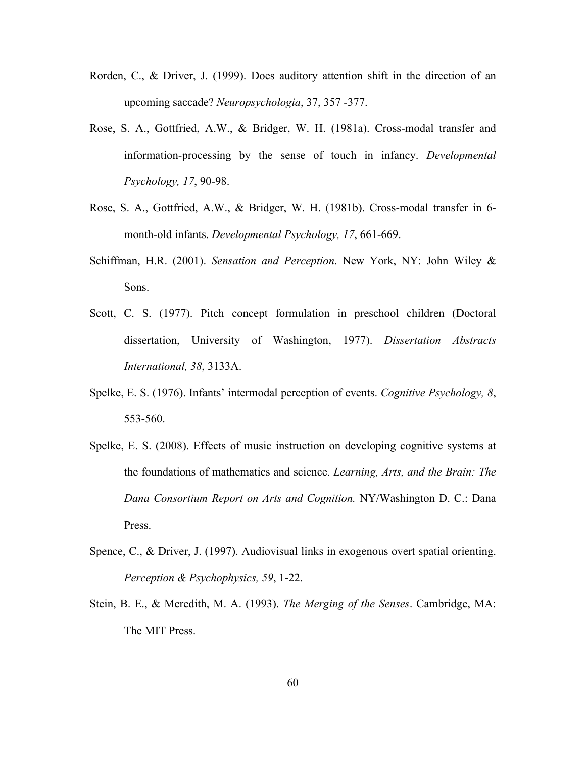- Rorden, C., & Driver, J. (1999). Does auditory attention shift in the direction of an upcoming saccade? *Neuropsychologia*, 37, 357 -377.
- Rose, S. A., Gottfried, A.W., & Bridger, W. H. (1981a). Cross-modal transfer and information-processing by the sense of touch in infancy. *Developmental Psychology, 17*, 90-98.
- Rose, S. A., Gottfried, A.W., & Bridger, W. H. (1981b). Cross-modal transfer in 6 month-old infants. *Developmental Psychology, 17*, 661-669.
- Schiffman, H.R. (2001). *Sensation and Perception*. New York, NY: John Wiley & Sons.
- Scott, C. S. (1977). Pitch concept formulation in preschool children (Doctoral dissertation, University of Washington, 1977). *Dissertation Abstracts International, 38*, 3133A.
- Spelke, E. S. (1976). Infants' intermodal perception of events. *Cognitive Psychology, 8*, 553-560.
- Spelke, E. S. (2008). Effects of music instruction on developing cognitive systems at the foundations of mathematics and science. *Learning, Arts, and the Brain: The Dana Consortium Report on Arts and Cognition.* NY/Washington D. C.: Dana Press.
- Spence, C., & Driver, J. (1997). Audiovisual links in exogenous overt spatial orienting. *Perception & Psychophysics, 59*, 1-22.
- Stein, B. E., & Meredith, M. A. (1993). *The Merging of the Senses*. Cambridge, MA: The MIT Press.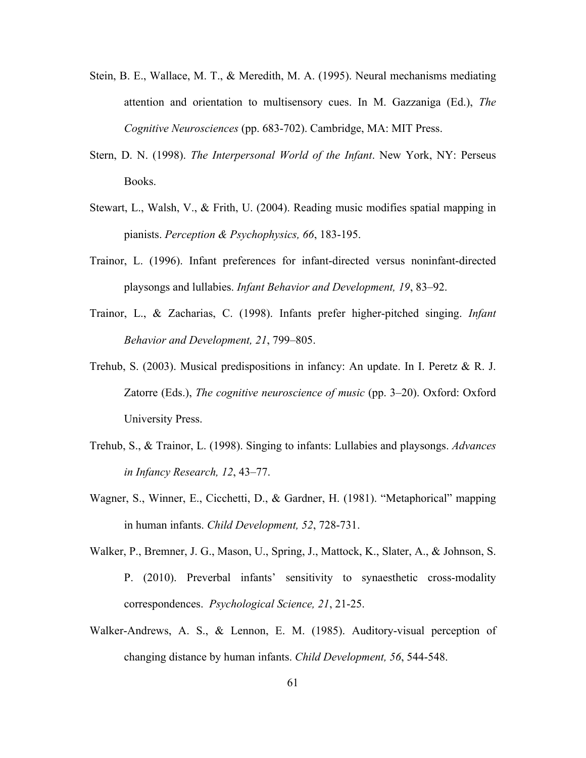- Stein, B. E., Wallace, M. T., & Meredith, M. A. (1995). Neural mechanisms mediating attention and orientation to multisensory cues. In M. Gazzaniga (Ed.), *The Cognitive Neurosciences* (pp. 683-702). Cambridge, MA: MIT Press.
- Stern, D. N. (1998). *The Interpersonal World of the Infant*. New York, NY: Perseus Books.
- Stewart, L., Walsh, V., & Frith, U. (2004). Reading music modifies spatial mapping in pianists. *Perception & Psychophysics, 66*, 183-195.
- Trainor, L. (1996). Infant preferences for infant-directed versus noninfant-directed playsongs and lullabies. *Infant Behavior and Development, 19*, 83–92.
- Trainor, L., & Zacharias, C. (1998). Infants prefer higher-pitched singing. *Infant Behavior and Development, 21*, 799–805.
- Trehub, S. (2003). Musical predispositions in infancy: An update. In I. Peretz & R. J. Zatorre (Eds.), *The cognitive neuroscience of music* (pp. 3–20). Oxford: Oxford University Press.
- Trehub, S., & Trainor, L. (1998). Singing to infants: Lullabies and playsongs. *Advances in Infancy Research, 12*, 43–77.
- Wagner, S., Winner, E., Cicchetti, D., & Gardner, H. (1981). "Metaphorical" mapping in human infants. *Child Development, 52*, 728-731.
- Walker, P., Bremner, J. G., Mason, U., Spring, J., Mattock, K., Slater, A., & Johnson, S. P. (2010). Preverbal infants' sensitivity to synaesthetic cross-modality correspondences. *Psychological Science, 21*, 21-25.
- Walker-Andrews, A. S., & Lennon, E. M. (1985). Auditory-visual perception of changing distance by human infants. *Child Development, 56*, 544-548.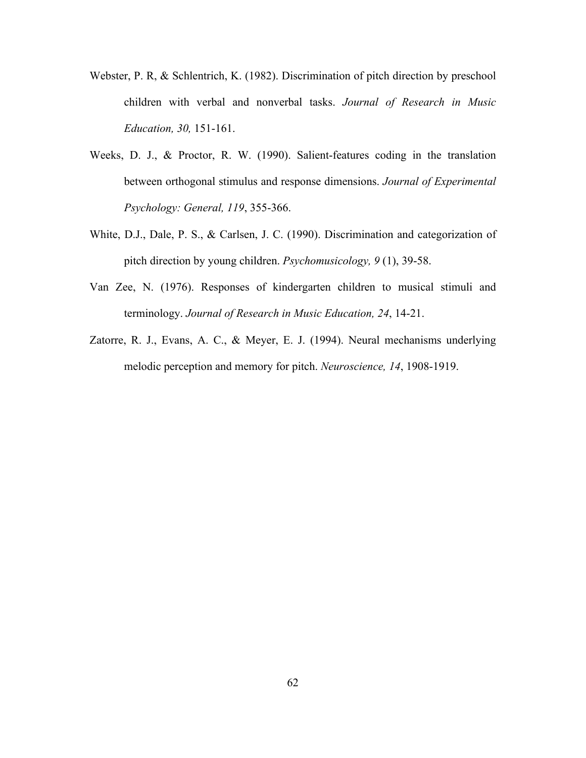- Webster, P. R, & Schlentrich, K. (1982). Discrimination of pitch direction by preschool children with verbal and nonverbal tasks. *Journal of Research in Music Education, 30,* 151-161.
- Weeks, D. J., & Proctor, R. W. (1990). Salient-features coding in the translation between orthogonal stimulus and response dimensions. *Journal of Experimental Psychology: General, 119*, 355-366.
- White, D.J., Dale, P. S., & Carlsen, J. C. (1990). Discrimination and categorization of pitch direction by young children. *Psychomusicology, 9* (1), 39-58.
- Van Zee, N. (1976). Responses of kindergarten children to musical stimuli and terminology. *Journal of Research in Music Education, 24*, 14-21.
- Zatorre, R. J., Evans, A. C., & Meyer, E. J. (1994). Neural mechanisms underlying melodic perception and memory for pitch. *Neuroscience, 14*, 1908-1919.